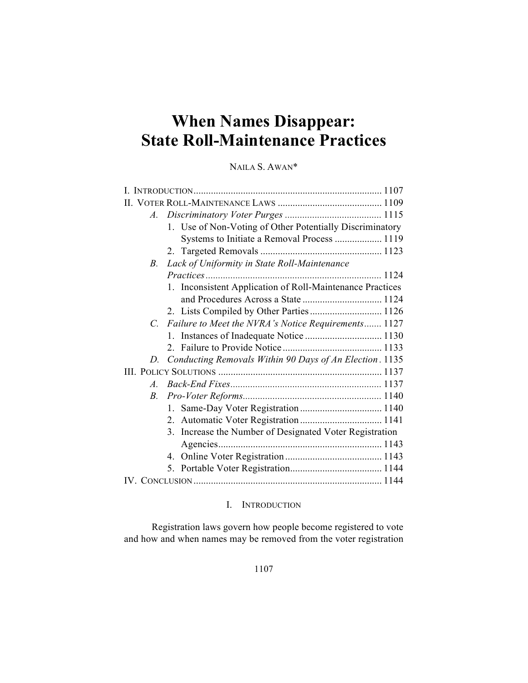# **When Names Disappear: State Roll-Maintenance Practices**

## NAILA S. AWAN\*

| $A_{-}$               |                                                           |  |
|-----------------------|-----------------------------------------------------------|--|
|                       | 1. Use of Non-Voting of Other Potentially Discriminatory  |  |
|                       | Systems to Initiate a Removal Process  1119               |  |
|                       |                                                           |  |
| B.                    | Lack of Uniformity in State Roll-Maintenance              |  |
|                       |                                                           |  |
|                       | 1. Inconsistent Application of Roll-Maintenance Practices |  |
|                       |                                                           |  |
|                       | 2. Lists Compiled by Other Parties 1126                   |  |
|                       | C. Failure to Meet the NVRA's Notice Requirements 1127    |  |
|                       |                                                           |  |
|                       |                                                           |  |
| D.                    | Conducting Removals Within 90 Days of An Election. 1135   |  |
|                       |                                                           |  |
| $\mathcal{A}_{\cdot}$ |                                                           |  |
| B.                    |                                                           |  |
|                       | $1_{-}$                                                   |  |
|                       |                                                           |  |
|                       | 3. Increase the Number of Designated Voter Registration   |  |
|                       |                                                           |  |
|                       |                                                           |  |
|                       |                                                           |  |
|                       |                                                           |  |

## I. INTRODUCTION

Registration laws govern how people become registered to vote and how and when names may be removed from the voter registration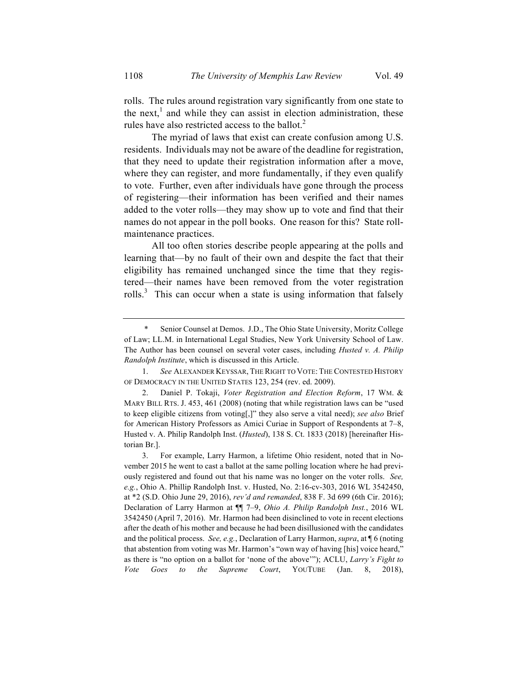rolls. The rules around registration vary significantly from one state to the next,<sup>1</sup> and while they can assist in election administration, these rules have also restricted access to the ballot.<sup>2</sup>

The myriad of laws that exist can create confusion among U.S. residents. Individuals may not be aware of the deadline for registration, that they need to update their registration information after a move, where they can register, and more fundamentally, if they even qualify to vote. Further, even after individuals have gone through the process of registering—their information has been verified and their names added to the voter rolls—they may show up to vote and find that their names do not appear in the poll books. One reason for this? State rollmaintenance practices.

All too often stories describe people appearing at the polls and learning that—by no fault of their own and despite the fact that their eligibility has remained unchanged since the time that they registered—their names have been removed from the voter registration rolls.<sup>3</sup> This can occur when a state is using information that falsely

Senior Counsel at Demos. J.D., The Ohio State University, Moritz College of Law; LL.M. in International Legal Studies, New York University School of Law. The Author has been counsel on several voter cases, including *Husted v. A. Philip Randolph Institute*, which is discussed in this Article.

<sup>1.</sup> *See* ALEXANDER KEYSSAR, THE RIGHT TO VOTE: THE CONTESTED HISTORY OF DEMOCRACY IN THE UNITED STATES 123, 254 (rev. ed. 2009).

<sup>2.</sup> Daniel P. Tokaji, *Voter Registration and Election Reform*, 17 WM. & MARY BILL RTS. J. 453, 461 (2008) (noting that while registration laws can be "used to keep eligible citizens from voting[,]" they also serve a vital need); *see also* Brief for American History Professors as Amici Curiae in Support of Respondents at 7–8, Husted v. A. Philip Randolph Inst. (*Husted*), 138 S. Ct. 1833 (2018) [hereinafter Historian Br.].

<sup>3.</sup> For example, Larry Harmon, a lifetime Ohio resident, noted that in November 2015 he went to cast a ballot at the same polling location where he had previously registered and found out that his name was no longer on the voter rolls. *See, e.g.*, Ohio A. Phillip Randolph Inst. v. Husted, No. 2:16-cv-303, 2016 WL 3542450, at \*2 (S.D. Ohio June 29, 2016), *rev'd and remanded*, 838 F. 3d 699 (6th Cir. 2016); Declaration of Larry Harmon at ¶¶ 7–9, *Ohio A. Philip Randolph Inst.*, 2016 WL 3542450 (April 7, 2016). Mr. Harmon had been disinclined to vote in recent elections after the death of his mother and because he had been disillusioned with the candidates and the political process. *See, e.g.*, Declaration of Larry Harmon, *supra*, at ¶ 6 (noting that abstention from voting was Mr. Harmon's "own way of having [his] voice heard," as there is "no option on a ballot for 'none of the above'"); ACLU, *Larry's Fight to Vote Goes to the Supreme Court*, YOUTUBE (Jan. 8, 2018),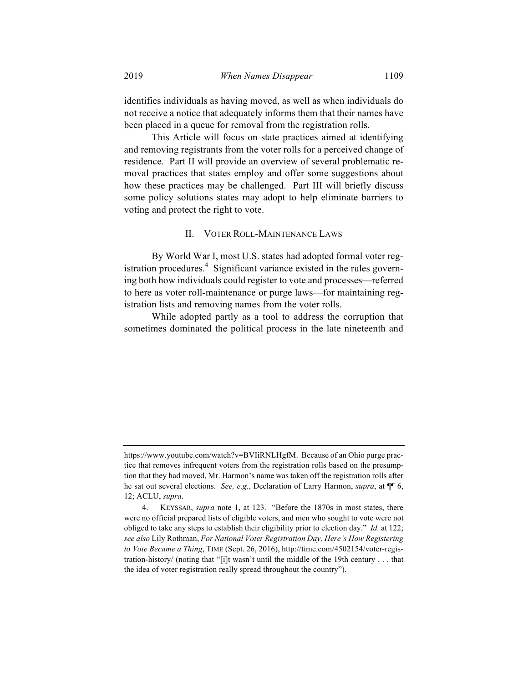identifies individuals as having moved, as well as when individuals do not receive a notice that adequately informs them that their names have been placed in a queue for removal from the registration rolls.

This Article will focus on state practices aimed at identifying and removing registrants from the voter rolls for a perceived change of residence. Part II will provide an overview of several problematic removal practices that states employ and offer some suggestions about how these practices may be challenged. Part III will briefly discuss some policy solutions states may adopt to help eliminate barriers to voting and protect the right to vote.

#### II. VOTER ROLL-MAINTENANCE LAWS

By World War I, most U.S. states had adopted formal voter registration procedures. $4$  Significant variance existed in the rules governing both how individuals could register to vote and processes—referred to here as voter roll-maintenance or purge laws—for maintaining registration lists and removing names from the voter rolls.

While adopted partly as a tool to address the corruption that sometimes dominated the political process in the late nineteenth and

https://www.youtube.com/watch?v=BVIiRNLHgfM. Because of an Ohio purge practice that removes infrequent voters from the registration rolls based on the presumption that they had moved, Mr. Harmon's name was taken off the registration rolls after he sat out several elections. *See, e.g.*, Declaration of Larry Harmon, *supra*, at ¶¶ 6, 12; ACLU, *supra*.

<sup>4.</sup> KEYSSAR, *supra* note 1, at 123. "Before the 1870s in most states, there were no official prepared lists of eligible voters, and men who sought to vote were not obliged to take any steps to establish their eligibility prior to election day." *Id.* at 122; *see also* Lily Rothman, *For National Voter Registration Day, Here's How Registering to Vote Became a Thing*, TIME (Sept. 26, 2016), http://time.com/4502154/voter-registration-history/ (noting that "[i]t wasn't until the middle of the 19th century . . . that the idea of voter registration really spread throughout the country").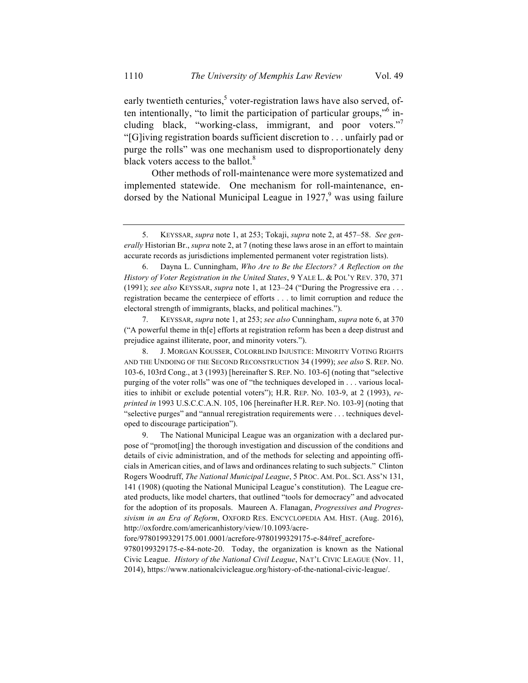early twentieth centuries, $<sup>5</sup>$  voter-registration laws have also served, of-</sup> ten intentionally, "to limit the participation of particular groups,"6 including black, "working-class, immigrant, and poor voters." "[G]iving registration boards sufficient discretion to . . . unfairly pad or purge the rolls" was one mechanism used to disproportionately deny black voters access to the ballot.<sup>8</sup>

Other methods of roll-maintenance were more systematized and implemented statewide. One mechanism for roll-maintenance, endorsed by the National Municipal League in  $1927<sup>9</sup>$  was using failure

7. KEYSSAR, *supra* note 1, at 253; *see also* Cunningham, *supra* note 6, at 370 ("A powerful theme in th[e] efforts at registration reform has been a deep distrust and prejudice against illiterate, poor, and minority voters.").

8. J. MORGAN KOUSSER, COLORBLIND INJUSTICE: MINORITY VOTING RIGHTS AND THE UNDOING OF THE SECOND RECONSTRUCTION 34 (1999); *see also* S. REP. NO. 103-6, 103rd Cong., at 3 (1993) [hereinafter S. REP. NO. 103-6] (noting that "selective purging of the voter rolls" was one of "the techniques developed in . . . various localities to inhibit or exclude potential voters"); H.R. REP. NO. 103-9, at 2 (1993), *reprinted in* 1993 U.S.C.C.A.N. 105, 106 [hereinafter H.R. REP. NO. 103-9] (noting that "selective purges" and "annual reregistration requirements were . . . techniques developed to discourage participation").

9. The National Municipal League was an organization with a declared purpose of "promot[ing] the thorough investigation and discussion of the conditions and details of civic administration, and of the methods for selecting and appointing officials in American cities, and of laws and ordinances relating to such subjects." Clinton Rogers Woodruff, *The National Municipal League*, 5 PROC. AM. POL. SCI. ASS'N 131, 141 (1908) (quoting the National Municipal League's constitution). The League created products, like model charters, that outlined "tools for democracy" and advocated for the adoption of its proposals. Maureen A. Flanagan, *Progressives and Progressivism in an Era of Reform*, OXFORD RES. ENCYCLOPEDIA AM. HIST. (Aug. 2016), http://oxfordre.com/americanhistory/view/10.1093/acre-

fore/9780199329175.001.0001/acrefore-9780199329175-e-84#ref\_acrefore-

9780199329175-e-84-note-20. Today, the organization is known as the National Civic League. *History of the National Civil League*, NAT'L CIVIC LEAGUE (Nov. 11, 2014), https://www.nationalcivicleague.org/history-of-the-national-civic-league/.

<sup>5.</sup> KEYSSAR, *supra* note 1, at 253; Tokaji, *supra* note 2, at 457–58. *See generally* Historian Br., *supra* note 2, at 7 (noting these laws arose in an effort to maintain accurate records as jurisdictions implemented permanent voter registration lists).

<sup>6.</sup> Dayna L. Cunningham, *Who Are to Be the Electors? A Reflection on the History of Voter Registration in the United States*, 9 YALE L. & POL'Y REV. 370, 371 (1991); *see also* KEYSSAR, *supra* note 1, at 123–24 ("During the Progressive era . . . registration became the centerpiece of efforts . . . to limit corruption and reduce the electoral strength of immigrants, blacks, and political machines.").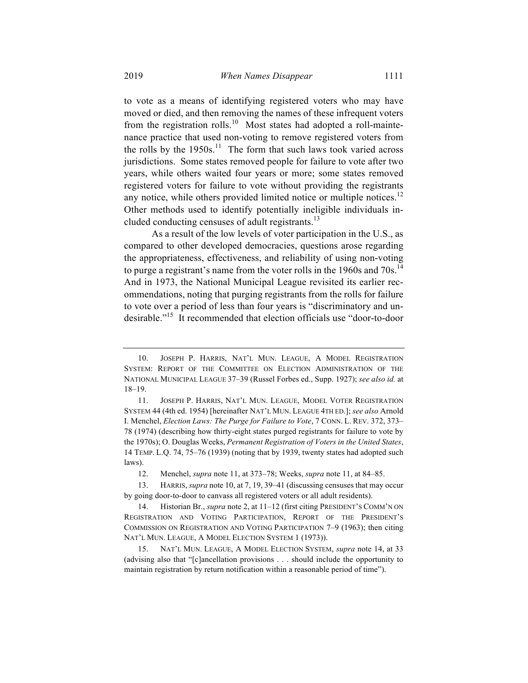to vote as a means of identifying registered voters who may have moved or died, and then removing the names of these infrequent voters from the registration rolls.<sup>10</sup> Most states had adopted a roll-maintenance practice that used non-voting to remove registered voters from the rolls by the  $1950s$ .<sup>11</sup> The form that such laws took varied across jurisdictions. Some states removed people for failure to vote after two years, while others waited four years or more; some states removed registered voters for failure to vote without providing the registrants any notice, while others provided limited notice or multiple notices.<sup>12</sup> Other methods used to identify potentially ineligible individuals included conducting censuses of adult registrants.<sup>13</sup>

As a result of the low levels of voter participation in the U.S., as compared to other developed democracies, questions arose regarding the appropriateness, effectiveness, and reliability of using non-voting to purge a registrant's name from the voter rolls in the 1960s and  $70s$ .<sup>14</sup> And in 1973, the National Municipal League revisited its earlier recommendations, noting that purging registrants from the rolls for failure to vote over a period of less than four years is "discriminatory and undesirable."15 It recommended that election officials use "door-to-door

<sup>10.</sup> JOSEPH P. HARRIS, NAT'L MUN. LEAGUE, A MODEL REGISTRATION SYSTEM: REPORT OF THE COMMITTEE ON ELECTION ADMINISTRATION OF THE NATIONAL MUNICIPAL LEAGUE 37–39 (Russel Forbes ed., Supp. 1927); *see also id.* at 18–19.

<sup>11.</sup> JOSEPH P. HARRIS, NAT'L MUN. LEAGUE, MODEL VOTER REGISTRATION SYSTEM 44 (4th ed. 1954) [hereinafter NAT'L MUN. LEAGUE 4TH ED.]; *see also* Arnold I. Menchel, *Election Laws: The Purge for Failure to Vote*, 7 CONN. L. REV. 372, 373– 78 (1974) (describing how thirty-eight states purged registrants for failure to vote by the 1970s); O. Douglas Weeks, *Permanent Registration of Voters in the United States*, 14 TEMP. L.Q. 74, 75–76 (1939) (noting that by 1939, twenty states had adopted such laws).

<sup>12.</sup> Menchel, *supra* note 11, at 373–78; Weeks, *supra* note 11, at 84–85.

<sup>13.</sup> HARRIS, *supra* note 10, at 7, 19, 39–41 (discussing censuses that may occur by going door-to-door to canvass all registered voters or all adult residents).

<sup>14.</sup> Historian Br., *supra* note 2, at 11–12 (first citing PRESIDENT'S COMM'N ON REGISTRATION AND VOTING PARTICIPATION, REPORT OF THE PRESIDENT'S COMMISSION ON REGISTRATION AND VOTING PARTICIPATION 7–9 (1963); then citing NAT'L MUN. LEAGUE, A MODEL ELECTION SYSTEM 1 (1973)).

<sup>15.</sup> NAT'L MUN. LEAGUE, A MODEL ELECTION SYSTEM, *supra* note 14, at 33 (advising also that "[c]ancellation provisions . . . should include the opportunity to maintain registration by return notification within a reasonable period of time").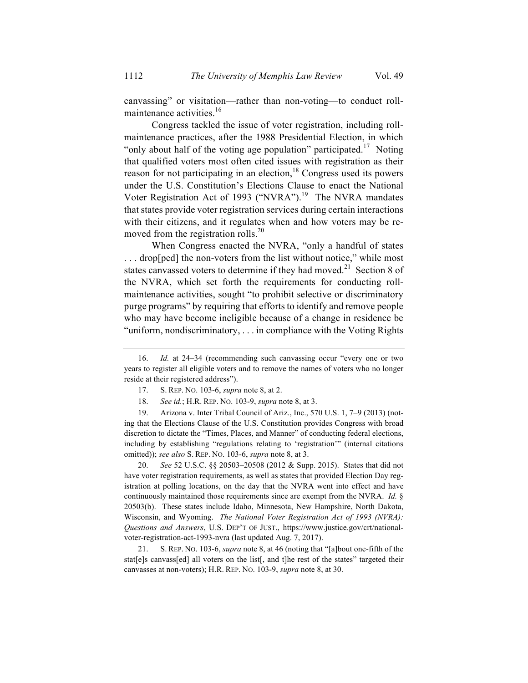canvassing" or visitation—rather than non-voting—to conduct rollmaintenance activities.<sup>16</sup>

Congress tackled the issue of voter registration, including rollmaintenance practices, after the 1988 Presidential Election, in which "only about half of the voting age population" participated.<sup>17</sup> Noting that qualified voters most often cited issues with registration as their reason for not participating in an election,<sup>18</sup> Congress used its powers under the U.S. Constitution's Elections Clause to enact the National Voter Registration Act of 1993 ("NVRA").<sup>19</sup> The NVRA mandates that states provide voter registration services during certain interactions with their citizens, and it regulates when and how voters may be removed from the registration rolls.<sup>20</sup>

When Congress enacted the NVRA, "only a handful of states ... drop[ped] the non-voters from the list without notice," while most states canvassed voters to determine if they had moved.<sup>21</sup> Section 8 of the NVRA, which set forth the requirements for conducting rollmaintenance activities, sought "to prohibit selective or discriminatory purge programs" by requiring that efforts to identify and remove people who may have become ineligible because of a change in residence be "uniform, nondiscriminatory, . . . in compliance with the Voting Rights

19. Arizona v. Inter Tribal Council of Ariz., Inc., 570 U.S. 1, 7–9 (2013) (noting that the Elections Clause of the U.S. Constitution provides Congress with broad discretion to dictate the "Times, Places, and Manner" of conducting federal elections, including by establishing "regulations relating to 'registration'" (internal citations omitted)); *see also* S. REP. NO. 103-6, *supra* note 8, at 3.

20. *See* 52 U.S.C. §§ 20503–20508 (2012 & Supp. 2015). States that did not have voter registration requirements, as well as states that provided Election Day registration at polling locations, on the day that the NVRA went into effect and have continuously maintained those requirements since are exempt from the NVRA. *Id.* § 20503(b). These states include Idaho, Minnesota, New Hampshire, North Dakota, Wisconsin, and Wyoming. *The National Voter Registration Act of 1993 (NVRA): Questions and Answers*, U.S. DEP'T OF JUST., https://www.justice.gov/crt/nationalvoter-registration-act-1993-nvra (last updated Aug. 7, 2017).

21. S. REP. NO. 103-6, *supra* note 8, at 46 (noting that "[a]bout one-fifth of the stat[e]s canvass[ed] all voters on the list[, and t]he rest of the states" targeted their canvasses at non-voters); H.R. REP. NO. 103-9, *supra* note 8, at 30.

<sup>16.</sup> *Id.* at 24–34 (recommending such canvassing occur "every one or two years to register all eligible voters and to remove the names of voters who no longer reside at their registered address").

<sup>17.</sup> S. REP. NO. 103-6, *supra* note 8, at 2.

<sup>18.</sup> *See id.*; H.R. REP. NO. 103-9, *supra* note 8, at 3.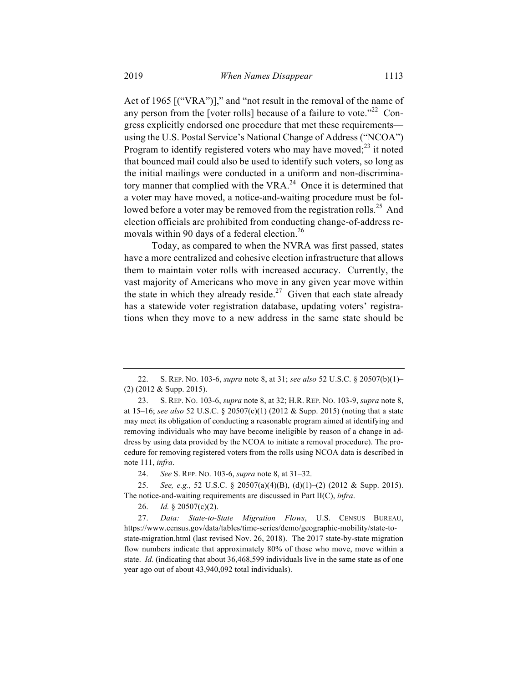Act of 1965 [("VRA")]," and "not result in the removal of the name of any person from the [voter rolls] because of a failure to vote.<sup> $22$ </sup> Congress explicitly endorsed one procedure that met these requirements using the U.S. Postal Service's National Change of Address ("NCOA") Program to identify registered voters who may have moved; $^{23}$  it noted that bounced mail could also be used to identify such voters, so long as the initial mailings were conducted in a uniform and non-discriminatory manner that complied with the VRA. $^{24}$  Once it is determined that a voter may have moved, a notice-and-waiting procedure must be followed before a voter may be removed from the registration rolls.<sup>25</sup> And election officials are prohibited from conducting change-of-address removals within 90 days of a federal election.<sup>26</sup>

Today, as compared to when the NVRA was first passed, states have a more centralized and cohesive election infrastructure that allows them to maintain voter rolls with increased accuracy. Currently, the vast majority of Americans who move in any given year move within the state in which they already reside.<sup>27</sup> Given that each state already has a statewide voter registration database, updating voters' registrations when they move to a new address in the same state should be

24. *See* S. REP. NO. 103-6, *supra* note 8, at 31–32.

25. *See, e.g.*, 52 U.S.C. § 20507(a)(4)(B), (d)(1)–(2) (2012 & Supp. 2015). The notice-and-waiting requirements are discussed in Part II(C), *infra*.

26. *Id.* § 20507(c)(2).

27. *Data: State-to-State Migration Flows*, U.S. CENSUS BUREAU, https://www.census.gov/data/tables/time-series/demo/geographic-mobility/state-tostate-migration.html (last revised Nov. 26, 2018). The 2017 state-by-state migration flow numbers indicate that approximately 80% of those who move, move within a state. *Id.* (indicating that about 36,468,599 individuals live in the same state as of one year ago out of about 43,940,092 total individuals).

<sup>22.</sup> S. REP. NO. 103-6, *supra* note 8, at 31; *see also* 52 U.S.C. § 20507(b)(1)– (2) (2012 & Supp. 2015).

<sup>23.</sup> S. REP. NO. 103-6, *supra* note 8, at 32; H.R. REP. NO. 103-9, *supra* note 8, at 15–16; *see also* 52 U.S.C. § 20507(c)(1) (2012 & Supp. 2015) (noting that a state may meet its obligation of conducting a reasonable program aimed at identifying and removing individuals who may have become ineligible by reason of a change in address by using data provided by the NCOA to initiate a removal procedure). The procedure for removing registered voters from the rolls using NCOA data is described in note 111, *infra*.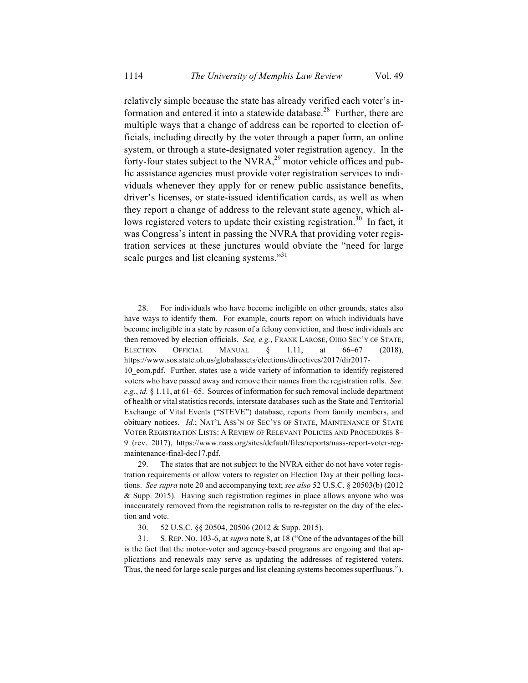relatively simple because the state has already verified each voter's information and entered it into a statewide database.<sup>28</sup> Further, there are multiple ways that a change of address can be reported to election officials, including directly by the voter through a paper form, an online system, or through a state-designated voter registration agency. In the forty-four states subject to the NVRA,<sup>29</sup> motor vehicle offices and public assistance agencies must provide voter registration services to individuals whenever they apply for or renew public assistance benefits, driver's licenses, or state-issued identification cards, as well as when they report a change of address to the relevant state agency, which allows registered voters to update their existing registration.<sup>30</sup> In fact, it was Congress's intent in passing the NVRA that providing voter registration services at these junctures would obviate the "need for large scale purges and list cleaning systems."<sup>31</sup>

<sup>28.</sup> For individuals who have become ineligible on other grounds, states also have ways to identify them. For example, courts report on which individuals have become ineligible in a state by reason of a felony conviction, and those individuals are then removed by election officials. *See, e.g.*, FRANK LAROSE, OHIO SEC'Y OF STATE, ELECTION OFFICIAL MANUAL § 1.11, at 66–67 (2018), https://www.sos.state.oh.us/globalassets/elections/directives/2017/dir2017- 10\_eom.pdf. Further, states use a wide variety of information to identify registered voters who have passed away and remove their names from the registration rolls. *See,* 

*e.g.*, *id.* § 1.11, at 61–65. Sources of information for such removal include department of health or vital statistics records, interstate databases such as the State and Territorial Exchange of Vital Events ("STEVE") database, reports from family members, and obituary notices. *Id.*; NAT'L ASS'N OF SEC'YS OF STATE, MAINTENANCE OF STATE VOTER REGISTRATION LISTS: A REVIEW OF RELEVANT POLICIES AND PROCEDURES 8– 9 (rev. 2017), https://www.nass.org/sites/default/files/reports/nass-report-voter-regmaintenance-final-dec17.pdf.

<sup>29.</sup> The states that are not subject to the NVRA either do not have voter registration requirements or allow voters to register on Election Day at their polling locations. *See supra* note 20 and accompanying text; *see also* 52 U.S.C. § 20503(b) (2012 & Supp. 2015). Having such registration regimes in place allows anyone who was inaccurately removed from the registration rolls to re-register on the day of the election and vote.

<sup>30.</sup> 52 U.S.C. §§ 20504, 20506 (2012 & Supp. 2015).

<sup>31.</sup> S. REP. NO. 103-6, at *supra* note 8, at 18 ("One of the advantages of the bill is the fact that the motor-voter and agency-based programs are ongoing and that applications and renewals may serve as updating the addresses of registered voters. Thus, the need for large scale purges and list cleaning systems becomes superfluous.").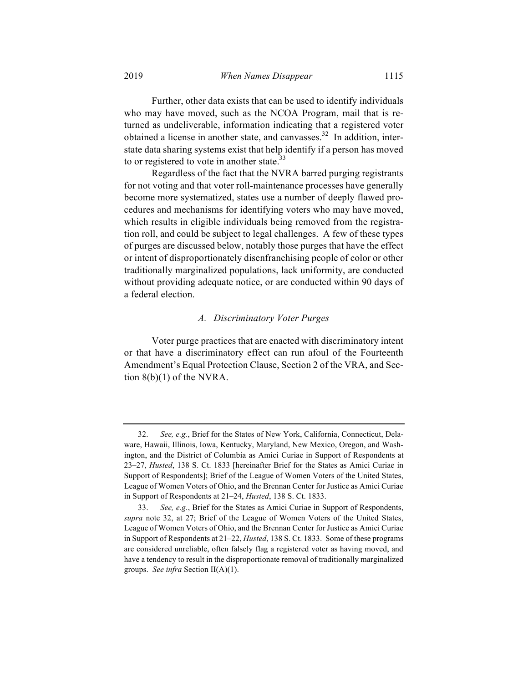Further, other data exists that can be used to identify individuals who may have moved, such as the NCOA Program, mail that is returned as undeliverable, information indicating that a registered voter obtained a license in another state, and canvasses.<sup>32</sup> In addition, interstate data sharing systems exist that help identify if a person has moved to or registered to vote in another state. $33$ 

Regardless of the fact that the NVRA barred purging registrants for not voting and that voter roll-maintenance processes have generally become more systematized, states use a number of deeply flawed procedures and mechanisms for identifying voters who may have moved, which results in eligible individuals being removed from the registration roll, and could be subject to legal challenges. A few of these types of purges are discussed below, notably those purges that have the effect or intent of disproportionately disenfranchising people of color or other traditionally marginalized populations, lack uniformity, are conducted without providing adequate notice, or are conducted within 90 days of a federal election.

#### *A. Discriminatory Voter Purges*

Voter purge practices that are enacted with discriminatory intent or that have a discriminatory effect can run afoul of the Fourteenth Amendment's Equal Protection Clause, Section 2 of the VRA, and Section  $8(b)(1)$  of the NVRA.

<sup>32.</sup> *See, e.g.*, Brief for the States of New York, California, Connecticut, Delaware, Hawaii, Illinois, Iowa, Kentucky, Maryland, New Mexico, Oregon, and Washington, and the District of Columbia as Amici Curiae in Support of Respondents at 23–27, *Husted*, 138 S. Ct. 1833 [hereinafter Brief for the States as Amici Curiae in Support of Respondents]; Brief of the League of Women Voters of the United States, League of Women Voters of Ohio, and the Brennan Center for Justice as Amici Curiae in Support of Respondents at 21–24, *Husted*, 138 S. Ct. 1833.

<sup>33.</sup> *See, e.g.*, Brief for the States as Amici Curiae in Support of Respondents, *supra* note 32, at 27; Brief of the League of Women Voters of the United States, League of Women Voters of Ohio, and the Brennan Center for Justice as Amici Curiae in Support of Respondents at 21–22, *Husted*, 138 S. Ct. 1833. Some of these programs are considered unreliable, often falsely flag a registered voter as having moved, and have a tendency to result in the disproportionate removal of traditionally marginalized groups. *See infra* Section II(A)(1).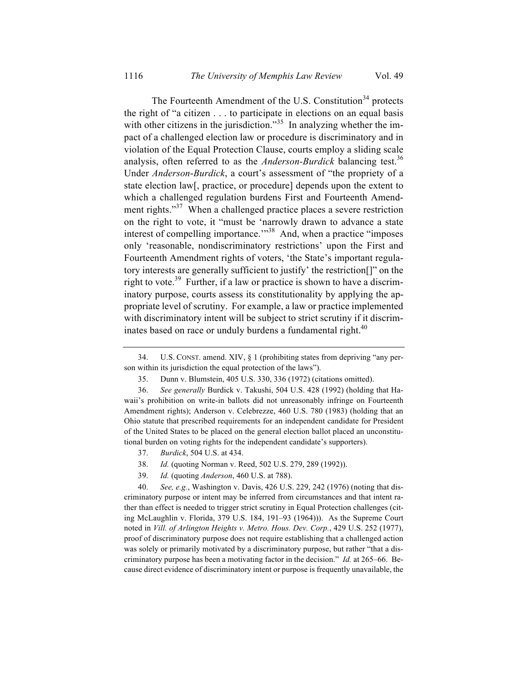The Fourteenth Amendment of the U.S. Constitution<sup>34</sup> protects the right of "a citizen . . . to participate in elections on an equal basis with other citizens in the jurisdiction."<sup>35</sup> In analyzing whether the impact of a challenged election law or procedure is discriminatory and in violation of the Equal Protection Clause, courts employ a sliding scale analysis, often referred to as the *Anderson-Burdick* balancing test.<sup>36</sup> Under *Anderson*-*Burdick*, a court's assessment of "the propriety of a state election law[, practice, or procedure] depends upon the extent to which a challenged regulation burdens First and Fourteenth Amendment rights."<sup>37</sup> When a challenged practice places a severe restriction on the right to vote, it "must be 'narrowly drawn to advance a state interest of compelling importance."<sup>38</sup> And, when a practice "imposes" only 'reasonable, nondiscriminatory restrictions' upon the First and Fourteenth Amendment rights of voters, 'the State's important regulatory interests are generally sufficient to justify' the restriction[]" on the right to vote.<sup>39</sup> Further, if a law or practice is shown to have a discriminatory purpose, courts assess its constitutionality by applying the appropriate level of scrutiny. For example, a law or practice implemented with discriminatory intent will be subject to strict scrutiny if it discriminates based on race or unduly burdens a fundamental right. $40$ 

- 38. *Id.* (quoting Norman v. Reed, 502 U.S. 279, 289 (1992)).
- 39. *Id.* (quoting *Anderson*, 460 U.S. at 788).

40. *See, e.g.*, Washington v. Davis, 426 U.S. 229, 242 (1976) (noting that discriminatory purpose or intent may be inferred from circumstances and that intent rather than effect is needed to trigger strict scrutiny in Equal Protection challenges (citing McLaughlin v. Florida, 379 U.S. 184, 191–93 (1964))). As the Supreme Court noted in *Vill. of Arlington Heights v. Metro. Hous. Dev. Corp.*, 429 U.S. 252 (1977), proof of discriminatory purpose does not require establishing that a challenged action was solely or primarily motivated by a discriminatory purpose, but rather "that a discriminatory purpose has been a motivating factor in the decision." *Id.* at 265–66. Because direct evidence of discriminatory intent or purpose is frequently unavailable, the

<sup>34.</sup> U.S. CONST. amend. XIV, § 1 (prohibiting states from depriving "any person within its jurisdiction the equal protection of the laws").

<sup>35.</sup> Dunn v. Blumstein, 405 U.S. 330, 336 (1972) (citations omitted).

<sup>36.</sup> *See generally* Burdick v. Takushi, 504 U.S. 428 (1992) (holding that Hawaii's prohibition on write-in ballots did not unreasonably infringe on Fourteenth Amendment rights); Anderson v. Celebrezze, 460 U.S. 780 (1983) (holding that an Ohio statute that prescribed requirements for an independent candidate for President of the United States to be placed on the general election ballot placed an unconstitutional burden on voting rights for the independent candidate's supporters).

<sup>37.</sup> *Burdick*, 504 U.S. at 434.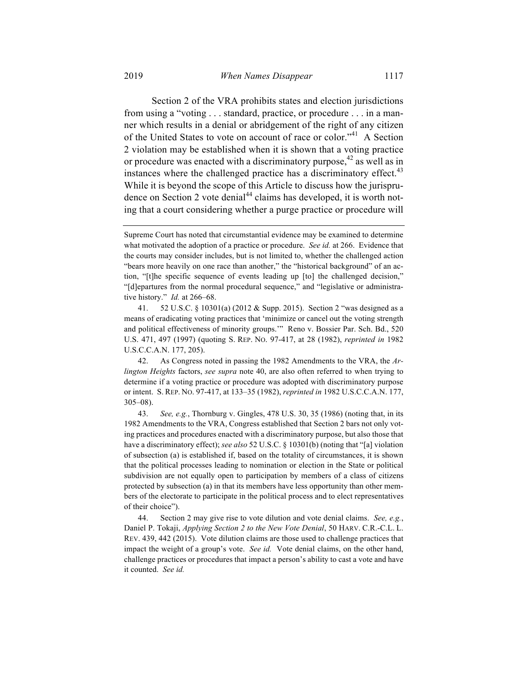Section 2 of the VRA prohibits states and election jurisdictions from using a "voting . . . standard, practice, or procedure . . . in a manner which results in a denial or abridgement of the right of any citizen of the United States to vote on account of race or color."<sup>41</sup> A Section 2 violation may be established when it is shown that a voting practice or procedure was enacted with a discriminatory purpose,  $42$  as well as in instances where the challenged practice has a discriminatory effect.<sup>43</sup> While it is beyond the scope of this Article to discuss how the jurisprudence on Section 2 vote denial<sup>44</sup> claims has developed, it is worth noting that a court considering whether a purge practice or procedure will

41. 52 U.S.C. § 10301(a) (2012 & Supp. 2015). Section 2 "was designed as a means of eradicating voting practices that 'minimize or cancel out the voting strength and political effectiveness of minority groups.'" Reno v. Bossier Par. Sch. Bd., 520 U.S. 471, 497 (1997) (quoting S. REP. NO. 97-417, at 28 (1982), *reprinted in* 1982 U.S.C.C.A.N. 177, 205).

42. As Congress noted in passing the 1982 Amendments to the VRA, the *Arlington Heights* factors, *see supra* note 40, are also often referred to when trying to determine if a voting practice or procedure was adopted with discriminatory purpose or intent. S. REP. NO. 97-417, at 133–35 (1982), *reprinted in* 1982 U.S.C.C.A.N. 177, 305–08).

43. *See, e.g.*, Thornburg v. Gingles, 478 U.S. 30, 35 (1986) (noting that, in its 1982 Amendments to the VRA, Congress established that Section 2 bars not only voting practices and procedures enacted with a discriminatory purpose, but also those that have a discriminatory effect); *see also* 52 U.S.C. § 10301(b) (noting that "[a] violation of subsection (a) is established if, based on the totality of circumstances, it is shown that the political processes leading to nomination or election in the State or political subdivision are not equally open to participation by members of a class of citizens protected by subsection (a) in that its members have less opportunity than other members of the electorate to participate in the political process and to elect representatives of their choice").

44. Section 2 may give rise to vote dilution and vote denial claims. *See, e.g.*, Daniel P. Tokaji, *Applying Section 2 to the New Vote Denial*, 50 HARV. C.R.-C.L. L. REV. 439, 442 (2015). Vote dilution claims are those used to challenge practices that impact the weight of a group's vote. *See id.* Vote denial claims, on the other hand, challenge practices or procedures that impact a person's ability to cast a vote and have it counted. *See id.*

Supreme Court has noted that circumstantial evidence may be examined to determine what motivated the adoption of a practice or procedure. *See id.* at 266. Evidence that the courts may consider includes, but is not limited to, whether the challenged action "bears more heavily on one race than another," the "historical background" of an action, "[t]he specific sequence of events leading up [to] the challenged decision," "[d]epartures from the normal procedural sequence," and "legislative or administrative history." *Id.* at 266–68.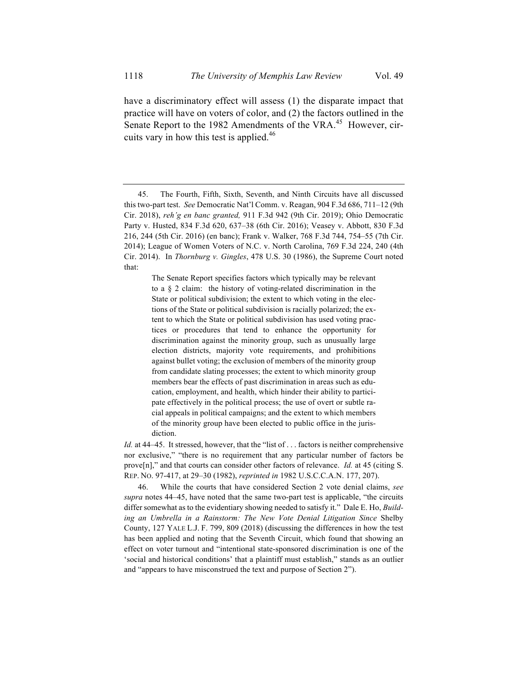have a discriminatory effect will assess (1) the disparate impact that practice will have on voters of color, and (2) the factors outlined in the Senate Report to the 1982 Amendments of the VRA.<sup>45</sup> However, circuits vary in how this test is applied.<sup>46</sup>

The Senate Report specifies factors which typically may be relevant to a § 2 claim: the history of voting-related discrimination in the State or political subdivision; the extent to which voting in the elections of the State or political subdivision is racially polarized; the extent to which the State or political subdivision has used voting practices or procedures that tend to enhance the opportunity for discrimination against the minority group, such as unusually large election districts, majority vote requirements, and prohibitions against bullet voting; the exclusion of members of the minority group from candidate slating processes; the extent to which minority group members bear the effects of past discrimination in areas such as education, employment, and health, which hinder their ability to participate effectively in the political process; the use of overt or subtle racial appeals in political campaigns; and the extent to which members of the minority group have been elected to public office in the jurisdiction.

*Id.* at 44–45. It stressed, however, that the "list of . . . factors is neither comprehensive nor exclusive," "there is no requirement that any particular number of factors be prove[n]," and that courts can consider other factors of relevance. *Id.* at 45 (citing S. REP. NO. 97-417, at 29–30 (1982), *reprinted in* 1982 U.S.C.C.A.N. 177, 207).

46. While the courts that have considered Section 2 vote denial claims, *see supra* notes 44–45, have noted that the same two-part test is applicable, "the circuits differ somewhat as to the evidentiary showing needed to satisfy it." Dale E. Ho, *Building an Umbrella in a Rainstorm: The New Vote Denial Litigation Since* Shelby County, 127 YALE L.J. F. 799, 809 (2018) (discussing the differences in how the test has been applied and noting that the Seventh Circuit, which found that showing an effect on voter turnout and "intentional state-sponsored discrimination is one of the 'social and historical conditions' that a plaintiff must establish," stands as an outlier and "appears to have misconstrued the text and purpose of Section 2").

<sup>45.</sup> The Fourth, Fifth, Sixth, Seventh, and Ninth Circuits have all discussed this two-part test. *See* Democratic Nat'l Comm. v. Reagan, 904 F.3d 686, 711–12 (9th Cir. 2018), *reh'g en banc granted,* 911 F.3d 942 (9th Cir. 2019); Ohio Democratic Party v. Husted, 834 F.3d 620, 637–38 (6th Cir. 2016); Veasey v. Abbott, 830 F.3d 216, 244 (5th Cir. 2016) (en banc); Frank v. Walker, 768 F.3d 744, 754–55 (7th Cir. 2014); League of Women Voters of N.C. v. North Carolina, 769 F.3d 224, 240 (4th Cir. 2014). In *Thornburg v. Gingles*, 478 U.S. 30 (1986), the Supreme Court noted that: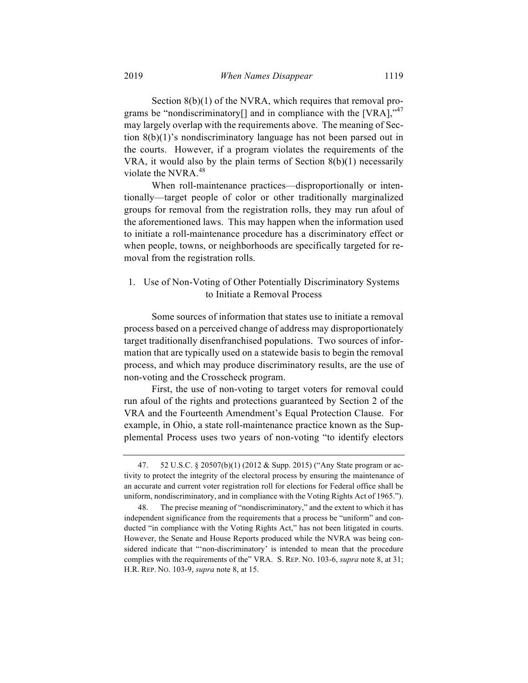Section 8(b)(1) of the NVRA, which requires that removal programs be "nondiscriminatory<sup>[]</sup> and in compliance with the  $[VRA]$ ,  $v^{47}$ may largely overlap with the requirements above. The meaning of Section 8(b)(1)'s nondiscriminatory language has not been parsed out in the courts. However, if a program violates the requirements of the VRA, it would also by the plain terms of Section  $8(b)(1)$  necessarily violate the NVRA.<sup>48</sup>

When roll-maintenance practices—disproportionally or intentionally—target people of color or other traditionally marginalized groups for removal from the registration rolls, they may run afoul of the aforementioned laws. This may happen when the information used to initiate a roll-maintenance procedure has a discriminatory effect or when people, towns, or neighborhoods are specifically targeted for removal from the registration rolls.

## 1. Use of Non-Voting of Other Potentially Discriminatory Systems to Initiate a Removal Process

Some sources of information that states use to initiate a removal process based on a perceived change of address may disproportionately target traditionally disenfranchised populations. Two sources of information that are typically used on a statewide basis to begin the removal process, and which may produce discriminatory results, are the use of non-voting and the Crosscheck program.

First, the use of non-voting to target voters for removal could run afoul of the rights and protections guaranteed by Section 2 of the VRA and the Fourteenth Amendment's Equal Protection Clause. For example, in Ohio, a state roll-maintenance practice known as the Supplemental Process uses two years of non-voting "to identify electors

<sup>47.</sup> 52 U.S.C. § 20507(b)(1) (2012 & Supp. 2015) ("Any State program or activity to protect the integrity of the electoral process by ensuring the maintenance of an accurate and current voter registration roll for elections for Federal office shall be uniform, nondiscriminatory, and in compliance with the Voting Rights Act of 1965.").

The precise meaning of "nondiscriminatory," and the extent to which it has independent significance from the requirements that a process be "uniform" and conducted "in compliance with the Voting Rights Act," has not been litigated in courts. However, the Senate and House Reports produced while the NVRA was being considered indicate that "'non-discriminatory' is intended to mean that the procedure complies with the requirements of the" VRA. S. REP. NO. 103-6, *supra* note 8, at 31; H.R. REP. NO. 103-9, *supra* note 8, at 15.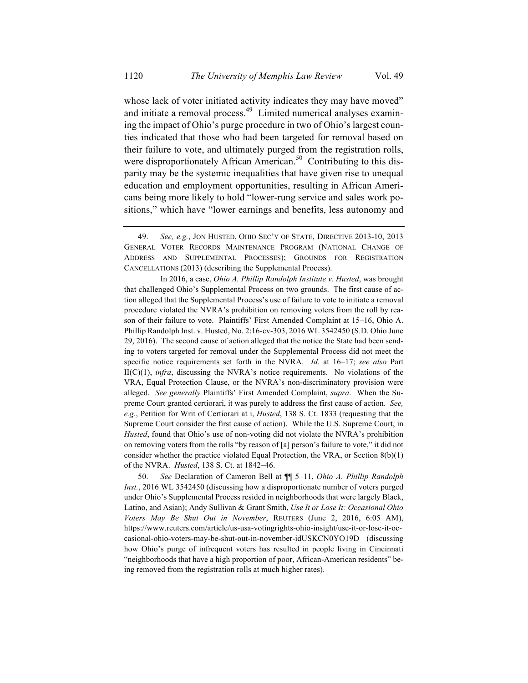whose lack of voter initiated activity indicates they may have moved" and initiate a removal process.<sup>49</sup> Limited numerical analyses examining the impact of Ohio's purge procedure in two of Ohio's largest counties indicated that those who had been targeted for removal based on their failure to vote, and ultimately purged from the registration rolls, were disproportionately African American.<sup>50</sup> Contributing to this disparity may be the systemic inequalities that have given rise to unequal education and employment opportunities, resulting in African Americans being more likely to hold "lower-rung service and sales work positions," which have "lower earnings and benefits, less autonomy and

In 2016, a case, *Ohio A. Phillip Randolph Institute v. Husted*, was brought that challenged Ohio's Supplemental Process on two grounds. The first cause of action alleged that the Supplemental Process's use of failure to vote to initiate a removal procedure violated the NVRA's prohibition on removing voters from the roll by reason of their failure to vote. Plaintiffs' First Amended Complaint at 15–16, Ohio A. Phillip Randolph Inst. v. Husted, No. 2:16-cv-303, 2016 WL 3542450 (S.D. Ohio June 29, 2016). The second cause of action alleged that the notice the State had been sending to voters targeted for removal under the Supplemental Process did not meet the specific notice requirements set forth in the NVRA. *Id.* at 16–17; *see also* Part II(C)(1), *infra*, discussing the NVRA's notice requirements. No violations of the VRA, Equal Protection Clause, or the NVRA's non-discriminatory provision were alleged. *See generally* Plaintiffs' First Amended Complaint, *supra*. When the Supreme Court granted certiorari, it was purely to address the first cause of action. *See, e.g.*, Petition for Writ of Certiorari at i, *Husted*, 138 S. Ct. 1833 (requesting that the Supreme Court consider the first cause of action). While the U.S. Supreme Court, in *Husted*, found that Ohio's use of non-voting did not violate the NVRA's prohibition on removing voters from the rolls "by reason of [a] person's failure to vote," it did not consider whether the practice violated Equal Protection, the VRA, or Section 8(b)(1) of the NVRA. *Husted*, 138 S. Ct. at 1842–46.

50. *See* Declaration of Cameron Bell at ¶¶ 5–11, *Ohio A. Phillip Randolph Inst.*, 2016 WL 3542450 (discussing how a disproportionate number of voters purged under Ohio's Supplemental Process resided in neighborhoods that were largely Black, Latino, and Asian); Andy Sullivan & Grant Smith, *Use It or Lose It: Occasional Ohio Voters May Be Shut Out in November*, REUTERS (June 2, 2016, 6:05 AM), https://www.reuters.com/article/us-usa-votingrights-ohio-insight/use-it-or-lose-it-occasional-ohio-voters-may-be-shut-out-in-november-idUSKCN0YO19D (discussing how Ohio's purge of infrequent voters has resulted in people living in Cincinnati "neighborhoods that have a high proportion of poor, African-American residents" being removed from the registration rolls at much higher rates).

<sup>49.</sup> *See, e.g.*, JON HUSTED, OHIO SEC'Y OF STATE, DIRECTIVE 2013-10, 2013 GENERAL VOTER RECORDS MAINTENANCE PROGRAM (NATIONAL CHANGE OF ADDRESS AND SUPPLEMENTAL PROCESSES); GROUNDS FOR REGISTRATION CANCELLATIONS (2013) (describing the Supplemental Process).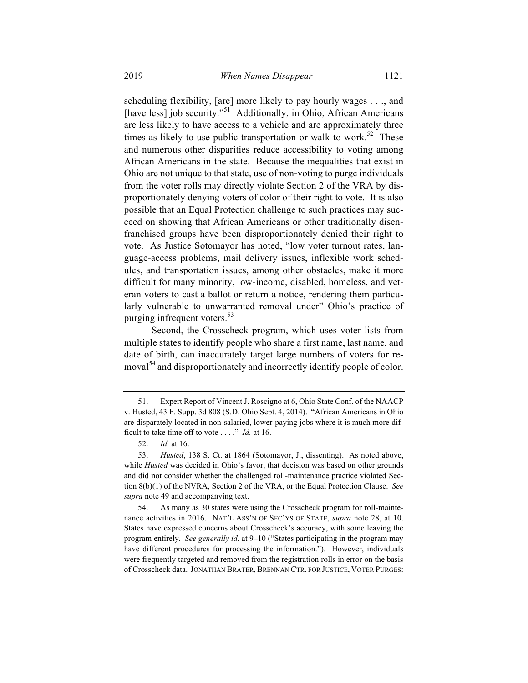scheduling flexibility, [are] more likely to pay hourly wages . . ., and [have less] job security."<sup>51</sup> Additionally, in Ohio, African Americans are less likely to have access to a vehicle and are approximately three times as likely to use public transportation or walk to work.<sup>52</sup> These and numerous other disparities reduce accessibility to voting among African Americans in the state. Because the inequalities that exist in Ohio are not unique to that state, use of non-voting to purge individuals from the voter rolls may directly violate Section 2 of the VRA by disproportionately denying voters of color of their right to vote. It is also possible that an Equal Protection challenge to such practices may succeed on showing that African Americans or other traditionally disenfranchised groups have been disproportionately denied their right to vote. As Justice Sotomayor has noted, "low voter turnout rates, language-access problems, mail delivery issues, inflexible work schedules, and transportation issues, among other obstacles, make it more difficult for many minority, low-income, disabled, homeless, and veteran voters to cast a ballot or return a notice, rendering them particularly vulnerable to unwarranted removal under" Ohio's practice of purging infrequent voters. $53$ 

Second, the Crosscheck program, which uses voter lists from multiple states to identify people who share a first name, last name, and date of birth, can inaccurately target large numbers of voters for removal<sup>54</sup> and disproportionately and incorrectly identify people of color.

<sup>51.</sup> Expert Report of Vincent J. Roscigno at 6, Ohio State Conf. of the NAACP v. Husted, 43 F. Supp. 3d 808 (S.D. Ohio Sept. 4, 2014). "African Americans in Ohio are disparately located in non-salaried, lower-paying jobs where it is much more difficult to take time off to vote . . . ." *Id.* at 16.

<sup>52.</sup> *Id.* at 16.

<sup>53.</sup> *Husted*, 138 S. Ct. at 1864 (Sotomayor, J., dissenting). As noted above, while *Husted* was decided in Ohio's favor, that decision was based on other grounds and did not consider whether the challenged roll-maintenance practice violated Section 8(b)(1) of the NVRA, Section 2 of the VRA, or the Equal Protection Clause. *See supra* note 49 and accompanying text.

<sup>54.</sup> As many as 30 states were using the Crosscheck program for roll-maintenance activities in 2016. NAT'L ASS'N OF SEC'YS OF STATE, *supra* note 28, at 10. States have expressed concerns about Crosscheck's accuracy, with some leaving the program entirely. *See generally id.* at 9–10 ("States participating in the program may have different procedures for processing the information."). However, individuals were frequently targeted and removed from the registration rolls in error on the basis of Crosscheck data. JONATHAN BRATER, BRENNAN CTR. FOR JUSTICE, VOTER PURGES: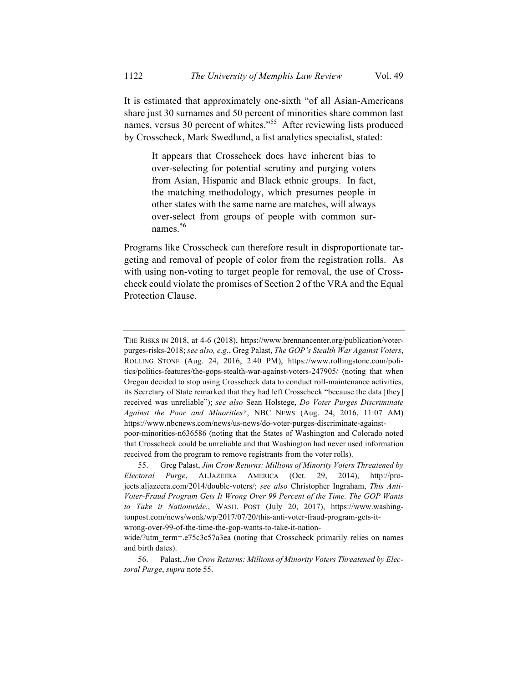It is estimated that approximately one-sixth "of all Asian-Americans share just 30 surnames and 50 percent of minorities share common last names, versus 30 percent of whites.<sup>55</sup> After reviewing lists produced by Crosscheck, Mark Swedlund, a list analytics specialist, stated:

It appears that Crosscheck does have inherent bias to over-selecting for potential scrutiny and purging voters from Asian, Hispanic and Black ethnic groups. In fact, the matching methodology, which presumes people in other states with the same name are matches, will always over-select from groups of people with common surnames.<sup>56</sup>

Programs like Crosscheck can therefore result in disproportionate targeting and removal of people of color from the registration rolls. As with using non-voting to target people for removal, the use of Crosscheck could violate the promises of Section 2 of the VRA and the Equal Protection Clause.

wrong-over-99-of-the-time-the-gop-wants-to-take-it-nation-

THE RISKS IN 2018, at 4-6 (2018), https://www.brennancenter.org/publication/voterpurges-risks-2018; *see also, e.g.*, Greg Palast, *The GOP's Stealth War Against Voters*, ROLLING STONE (Aug. 24, 2016, 2:40 PM), https://www.rollingstone.com/politics/politics-features/the-gops-stealth-war-against-voters-247905/ (noting that when Oregon decided to stop using Crosscheck data to conduct roll-maintenance activities, its Secretary of State remarked that they had left Crosscheck "because the data [they] received was unreliable"); *see also* Sean Holstege, *Do Voter Purges Discriminate Against the Poor and Minorities?*, NBC NEWS (Aug. 24, 2016, 11:07 AM) https://www.nbcnews.com/news/us-news/do-voter-purges-discriminate-against-

poor-minorities-n636586 (noting that the States of Washington and Colorado noted that Crosscheck could be unreliable and that Washington had never used information received from the program to remove registrants from the voter rolls).

<sup>55.</sup> Greg Palast, *Jim Crow Returns: Millions of Minority Voters Threatened by Electoral Purge*, ALJAZEERA AMERICA (Oct. 29, 2014), http://projects.aljazeera.com/2014/double-voters/; *see also* Christopher Ingraham, *This Anti-Voter-Fraud Program Gets It Wrong Over 99 Percent of the Time. The GOP Wants to Take it Nationwide.*, WASH. POST (July 20, 2017), https://www.washingtonpost.com/news/wonk/wp/2017/07/20/this-anti-voter-fraud-program-gets-it-

wide/?utm\_term=.e75c3c57a3ea (noting that Crosscheck primarily relies on names and birth dates).

<sup>56.</sup> Palast, *Jim Crow Returns: Millions of Minority Voters Threatened by Electoral Purge*, *supra* note 55.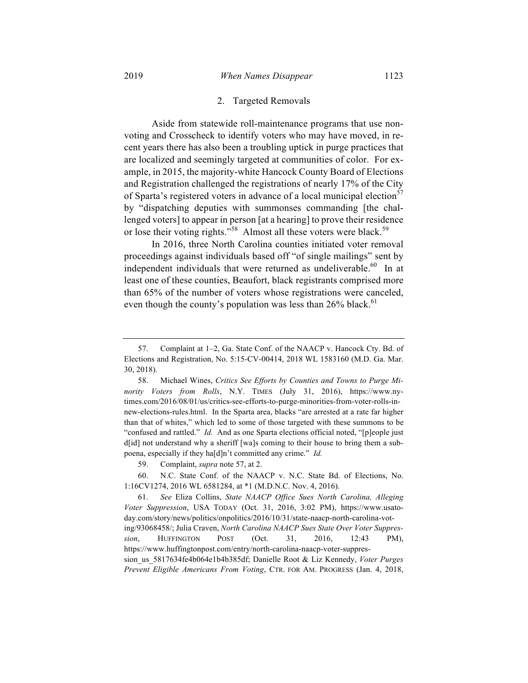Aside from statewide roll-maintenance programs that use nonvoting and Crosscheck to identify voters who may have moved, in recent years there has also been a troubling uptick in purge practices that are localized and seemingly targeted at communities of color. For example, in 2015, the majority-white Hancock County Board of Elections and Registration challenged the registrations of nearly 17% of the City of Sparta's registered voters in advance of a local municipal election<sup>57</sup> by "dispatching deputies with summonses commanding [the challenged voters] to appear in person [at a hearing] to prove their residence or lose their voting rights."<sup>58</sup> Almost all these voters were black.<sup>59</sup>

In 2016, three North Carolina counties initiated voter removal proceedings against individuals based off "of single mailings" sent by independent individuals that were returned as undeliverable.<sup>60</sup> In at least one of these counties, Beaufort, black registrants comprised more than 65% of the number of voters whose registrations were canceled, even though the county's population was less than  $26\%$  black.<sup>61</sup>

60. N.C. State Conf. of the NAACP v. N.C. State Bd. of Elections, No. 1:16CV1274, 2016 WL 6581284, at \*1 (M.D.N.C. Nov. 4, 2016).

<sup>57.</sup> Complaint at 1–2, Ga. State Conf. of the NAACP v. Hancock Cty. Bd. of Elections and Registration, No. 5:15-CV-00414, 2018 WL 1583160 (M.D. Ga. Mar. 30, 2018).

<sup>58.</sup> Michael Wines, *Critics See Efforts by Counties and Towns to Purge Minority Voters from Rolls*, N.Y. TIMES (July 31, 2016), https://www.nytimes.com/2016/08/01/us/critics-see-efforts-to-purge-minorities-from-voter-rolls-innew-elections-rules.html. In the Sparta area, blacks "are arrested at a rate far higher than that of whites," which led to some of those targeted with these summons to be "confused and rattled." *Id.* And as one Sparta elections official noted, "[p]eople just d[id] not understand why a sheriff [wa]s coming to their house to bring them a subpoena, especially if they ha[d]n't committed any crime." *Id.*

<sup>59.</sup> Complaint, *supra* note 57, at 2.

<sup>61.</sup> *See* Eliza Collins, *State NAACP Office Sues North Carolina, Alleging Voter Suppression*, USA TODAY (Oct. 31, 2016, 3:02 PM), https://www.usatoday.com/story/news/politics/onpolitics/2016/10/31/state-naacp-north-carolina-voting/93068458/; Julia Craven, *North Carolina NAACP Sues State Over Voter Suppression*, HUFFINGTON POST (Oct. 31, 2016, 12:43 PM), https://www.huffingtonpost.com/entry/north-carolina-naacp-voter-suppression\_us\_5817634fe4b064e1b4b385df; Danielle Root & Liz Kennedy, *Voter Purges Prevent Eligible Americans From Voting*, CTR. FOR AM. PROGRESS (Jan. 4, 2018,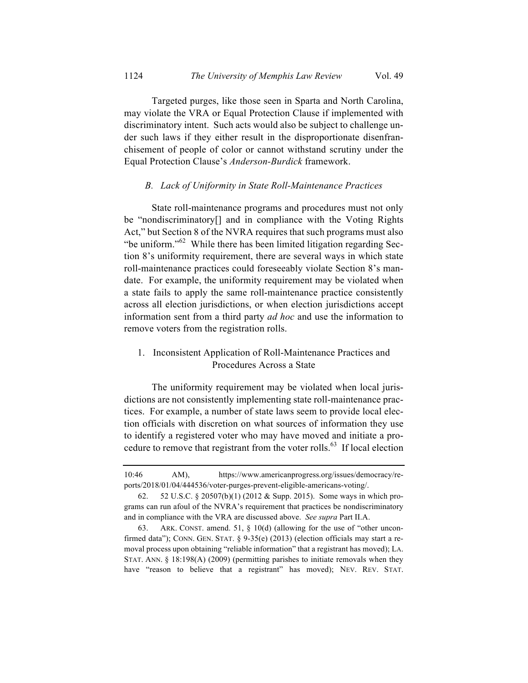Targeted purges, like those seen in Sparta and North Carolina, may violate the VRA or Equal Protection Clause if implemented with discriminatory intent. Such acts would also be subject to challenge under such laws if they either result in the disproportionate disenfranchisement of people of color or cannot withstand scrutiny under the Equal Protection Clause's *Anderson-Burdick* framework.

#### *B. Lack of Uniformity in State Roll-Maintenance Practices*

State roll-maintenance programs and procedures must not only be "nondiscriminatory[] and in compliance with the Voting Rights Act," but Section 8 of the NVRA requires that such programs must also "be uniform."<sup>62</sup> While there has been limited litigation regarding Section 8's uniformity requirement, there are several ways in which state roll-maintenance practices could foreseeably violate Section 8's mandate. For example, the uniformity requirement may be violated when a state fails to apply the same roll-maintenance practice consistently across all election jurisdictions, or when election jurisdictions accept information sent from a third party *ad hoc* and use the information to remove voters from the registration rolls.

## 1. Inconsistent Application of Roll-Maintenance Practices and Procedures Across a State

The uniformity requirement may be violated when local jurisdictions are not consistently implementing state roll-maintenance practices. For example, a number of state laws seem to provide local election officials with discretion on what sources of information they use to identify a registered voter who may have moved and initiate a procedure to remove that registrant from the voter rolls.<sup>63</sup> If local election

<sup>10:46</sup> AM), https://www.americanprogress.org/issues/democracy/reports/2018/01/04/444536/voter-purges-prevent-eligible-americans-voting/.

<sup>62.</sup> 52 U.S.C. § 20507(b)(1) (2012 & Supp. 2015). Some ways in which programs can run afoul of the NVRA's requirement that practices be nondiscriminatory and in compliance with the VRA are discussed above. *See supra* Part II.A.

<sup>63.</sup> ARK. CONST. amend. 51, § 10(d) (allowing for the use of "other unconfirmed data"); CONN. GEN. STAT.  $\S$  9-35(e) (2013) (election officials may start a removal process upon obtaining "reliable information" that a registrant has moved); LA. STAT. ANN. § 18:198(A) (2009) (permitting parishes to initiate removals when they have "reason to believe that a registrant" has moved); NEV. REV. STAT.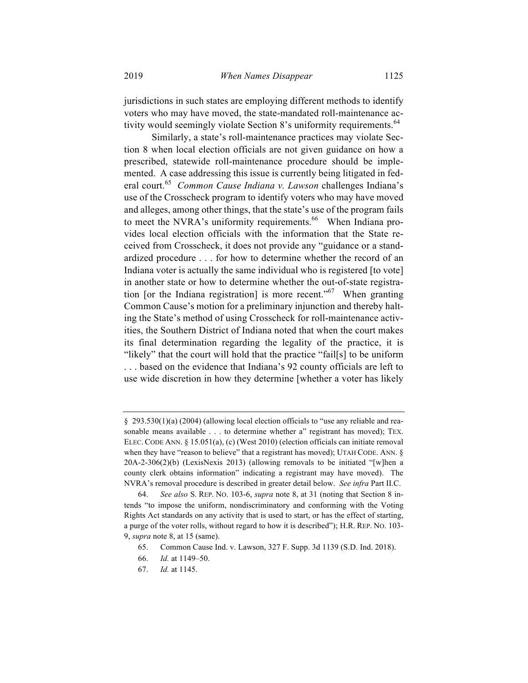jurisdictions in such states are employing different methods to identify voters who may have moved, the state-mandated roll-maintenance activity would seemingly violate Section 8's uniformity requirements.<sup>64</sup>

Similarly, a state's roll-maintenance practices may violate Section 8 when local election officials are not given guidance on how a prescribed, statewide roll-maintenance procedure should be implemented. A case addressing this issue is currently being litigated in federal court.65 *Common Cause Indiana v. Lawson* challenges Indiana's use of the Crosscheck program to identify voters who may have moved and alleges, among other things, that the state's use of the program fails to meet the NVRA's uniformity requirements.<sup>66</sup> When Indiana provides local election officials with the information that the State received from Crosscheck, it does not provide any "guidance or a standardized procedure . . . for how to determine whether the record of an Indiana voter is actually the same individual who is registered [to vote] in another state or how to determine whether the out-of-state registration [or the Indiana registration] is more recent.<sup> $167$ </sup> When granting Common Cause's motion for a preliminary injunction and thereby halting the State's method of using Crosscheck for roll-maintenance activities, the Southern District of Indiana noted that when the court makes its final determination regarding the legality of the practice, it is "likely" that the court will hold that the practice "fail[s] to be uniform . . . based on the evidence that Indiana's 92 county officials are left to use wide discretion in how they determine [whether a voter has likely

<sup>§</sup> 293.530(1)(a) (2004) (allowing local election officials to "use any reliable and reasonable means available . . . to determine whether a" registrant has moved); TEX. ELEC. CODE ANN. § 15.051(a), (c) (West 2010) (election officials can initiate removal when they have "reason to believe" that a registrant has moved); UTAH CODE, ANN.  $\S$  $20A-2-306(2)(b)$  (LexisNexis 2013) (allowing removals to be initiated "[w]hen a county clerk obtains information" indicating a registrant may have moved). The NVRA's removal procedure is described in greater detail below. *See infra* Part II.C.

<sup>64.</sup> *See also* S. REP. NO. 103-6, *supra* note 8, at 31 (noting that Section 8 intends "to impose the uniform, nondiscriminatory and conforming with the Voting Rights Act standards on any activity that is used to start, or has the effect of starting, a purge of the voter rolls, without regard to how it is described"); H.R. REP. NO. 103- 9, *supra* note 8, at 15 (same).

<sup>65.</sup> Common Cause Ind. v. Lawson, 327 F. Supp. 3d 1139 (S.D. Ind. 2018).

<sup>66.</sup> *Id.* at 1149–50.

<sup>67.</sup> *Id.* at 1145.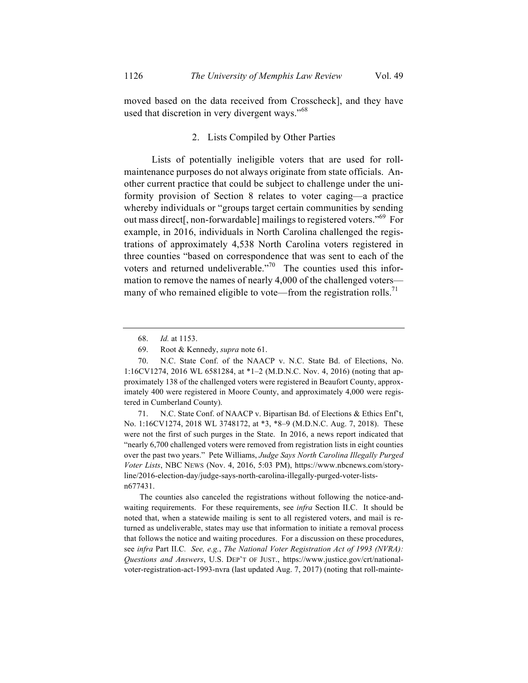moved based on the data received from Crosscheck], and they have used that discretion in very divergent ways."<sup>68</sup>

### 2. Lists Compiled by Other Parties

Lists of potentially ineligible voters that are used for rollmaintenance purposes do not always originate from state officials. Another current practice that could be subject to challenge under the uniformity provision of Section 8 relates to voter caging—a practice whereby individuals or "groups target certain communities by sending out mass direct<sup>[</sup>, non-forwardable] mailings to registered voters."<sup>69</sup> For example, in 2016, individuals in North Carolina challenged the registrations of approximately 4,538 North Carolina voters registered in three counties "based on correspondence that was sent to each of the voters and returned undeliverable. $170$  The counties used this information to remove the names of nearly 4,000 of the challenged voters many of who remained eligible to vote—from the registration rolls.<sup>71</sup>

71. N.C. State Conf. of NAACP v. Bipartisan Bd. of Elections & Ethics Enf't, No. 1:16CV1274, 2018 WL 3748172, at \*3, \*8–9 (M.D.N.C. Aug. 7, 2018). These were not the first of such purges in the State. In 2016, a news report indicated that "nearly 6,700 challenged voters were removed from registration lists in eight counties over the past two years." Pete Williams, *Judge Says North Carolina Illegally Purged Voter Lists*, NBC NEWS (Nov. 4, 2016, 5:03 PM), https://www.nbcnews.com/storyline/2016-election-day/judge-says-north-carolina-illegally-purged-voter-listsn677431.

The counties also canceled the registrations without following the notice-andwaiting requirements. For these requirements, see *infra* Section II.C. It should be noted that, when a statewide mailing is sent to all registered voters, and mail is returned as undeliverable, states may use that information to initiate a removal process that follows the notice and waiting procedures. For a discussion on these procedures, see *infra* Part II.C*. See, e.g.*, *The National Voter Registration Act of 1993 (NVRA): Questions and Answers*, U.S. DEP'T OF JUST., https://www.justice.gov/crt/nationalvoter-registration-act-1993-nvra (last updated Aug. 7, 2017) (noting that roll-mainte-

<sup>68.</sup> *Id.* at 1153.

<sup>69.</sup> Root & Kennedy, *supra* note 61.

<sup>70.</sup> N.C. State Conf. of the NAACP v. N.C. State Bd. of Elections, No. 1:16CV1274, 2016 WL 6581284, at \*1–2 (M.D.N.C. Nov. 4, 2016) (noting that approximately 138 of the challenged voters were registered in Beaufort County, approximately 400 were registered in Moore County, and approximately 4,000 were registered in Cumberland County).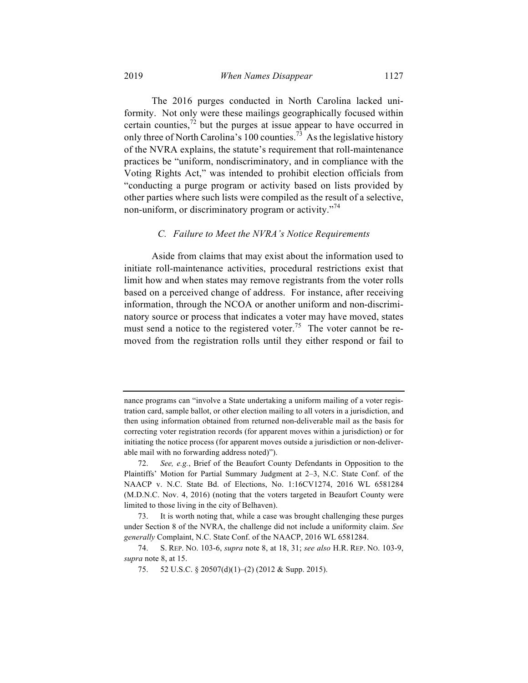The 2016 purges conducted in North Carolina lacked uniformity. Not only were these mailings geographically focused within certain counties,<sup> $72$ </sup> but the purges at issue appear to have occurred in only three of North Carolina's 100 counties.<sup>73</sup> As the legislative history of the NVRA explains, the statute's requirement that roll-maintenance practices be "uniform, nondiscriminatory, and in compliance with the Voting Rights Act," was intended to prohibit election officials from "conducting a purge program or activity based on lists provided by other parties where such lists were compiled as the result of a selective, non-uniform, or discriminatory program or activity. $^{74}$ 

#### *C. Failure to Meet the NVRA's Notice Requirements*

Aside from claims that may exist about the information used to initiate roll-maintenance activities, procedural restrictions exist that limit how and when states may remove registrants from the voter rolls based on a perceived change of address. For instance, after receiving information, through the NCOA or another uniform and non-discriminatory source or process that indicates a voter may have moved, states must send a notice to the registered voter.<sup>75</sup> The voter cannot be removed from the registration rolls until they either respond or fail to

nance programs can "involve a State undertaking a uniform mailing of a voter registration card, sample ballot, or other election mailing to all voters in a jurisdiction, and then using information obtained from returned non-deliverable mail as the basis for correcting voter registration records (for apparent moves within a jurisdiction) or for initiating the notice process (for apparent moves outside a jurisdiction or non-deliverable mail with no forwarding address noted)").

<sup>72.</sup> *See, e.g.*, Brief of the Beaufort County Defendants in Opposition to the Plaintiffs' Motion for Partial Summary Judgment at 2–3, N.C. State Conf. of the NAACP v. N.C. State Bd. of Elections, No. 1:16CV1274, 2016 WL 6581284 (M.D.N.C. Nov. 4, 2016) (noting that the voters targeted in Beaufort County were limited to those living in the city of Belhaven).

<sup>73.</sup> It is worth noting that, while a case was brought challenging these purges under Section 8 of the NVRA, the challenge did not include a uniformity claim. *See generally* Complaint, N.C. State Conf. of the NAACP, 2016 WL 6581284.

<sup>74.</sup> S. REP. NO. 103-6, *supra* note 8, at 18, 31; *see also* H.R. REP. NO. 103-9, *supra* note 8, at 15.

<sup>75.</sup> 52 U.S.C. § 20507(d)(1)–(2) (2012 & Supp. 2015).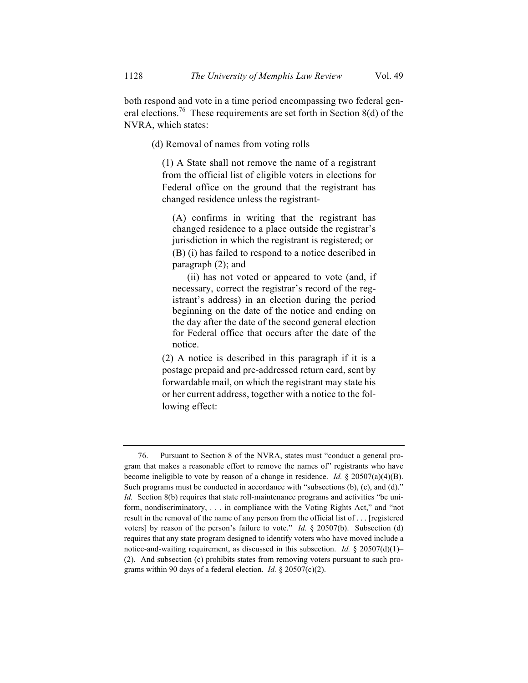both respond and vote in a time period encompassing two federal general elections.<sup>76</sup> These requirements are set forth in Section 8(d) of the NVRA, which states:

(d) Removal of names from voting rolls

(1) A State shall not remove the name of a registrant from the official list of eligible voters in elections for Federal office on the ground that the registrant has changed residence unless the registrant-

(A) confirms in writing that the registrant has changed residence to a place outside the registrar's jurisdiction in which the registrant is registered; or (B) (i) has failed to respond to a notice described in paragraph (2); and

(ii) has not voted or appeared to vote (and, if necessary, correct the registrar's record of the registrant's address) in an election during the period beginning on the date of the notice and ending on the day after the date of the second general election for Federal office that occurs after the date of the notice.

(2) A notice is described in this paragraph if it is a postage prepaid and pre-addressed return card, sent by forwardable mail, on which the registrant may state his or her current address, together with a notice to the following effect:

<sup>76.</sup> Pursuant to Section 8 of the NVRA, states must "conduct a general program that makes a reasonable effort to remove the names of" registrants who have become ineligible to vote by reason of a change in residence. *Id.* § 20507(a)(4)(B). Such programs must be conducted in accordance with "subsections (b), (c), and (d)." *Id.* Section 8(b) requires that state roll-maintenance programs and activities "be uniform, nondiscriminatory, . . . in compliance with the Voting Rights Act," and "not result in the removal of the name of any person from the official list of . . . [registered voters] by reason of the person's failure to vote." *Id.* § 20507(b). Subsection (d) requires that any state program designed to identify voters who have moved include a notice-and-waiting requirement, as discussed in this subsection. *Id.* § 20507(d)(1)– (2). And subsection (c) prohibits states from removing voters pursuant to such programs within 90 days of a federal election. *Id.* § 20507(c)(2).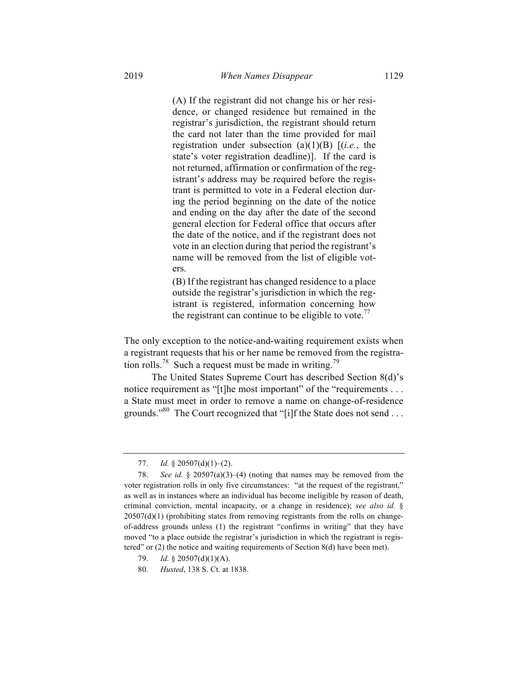(A) If the registrant did not change his or her residence, or changed residence but remained in the registrar's jurisdiction, the registrant should return the card not later than the time provided for mail registration under subsection (a)(1)(B) [(*i.e.*, the state's voter registration deadline)]. If the card is not returned, affirmation or confirmation of the registrant's address may be required before the registrant is permitted to vote in a Federal election during the period beginning on the date of the notice and ending on the day after the date of the second general election for Federal office that occurs after the date of the notice, and if the registrant does not vote in an election during that period the registrant's name will be removed from the list of eligible voters.

(B) If the registrant has changed residence to a place outside the registrar's jurisdiction in which the registrant is registered, information concerning how the registrant can continue to be eligible to vote.<sup>77</sup>

The only exception to the notice-and-waiting requirement exists when a registrant requests that his or her name be removed from the registration rolls.<sup>78</sup> Such a request must be made in writing.<sup>79</sup>

The United States Supreme Court has described Section 8(d)'s notice requirement as "[t]he most important" of the "requirements . . . a State must meet in order to remove a name on change-of-residence grounds."<sup>80</sup> The Court recognized that "[i]f the State does not send . . .

<sup>77.</sup> *Id.* § 20507(d)(1)–(2).

<sup>78.</sup> *See id.* § 20507(a)(3)–(4) (noting that names may be removed from the voter registration rolls in only five circumstances: "at the request of the registrant," as well as in instances where an individual has become ineligible by reason of death, criminal conviction, mental incapacity, or a change in residence); *see also id.* §  $20507(d)(1)$  (prohibiting states from removing registrants from the rolls on changeof-address grounds unless (1) the registrant "confirms in writing" that they have moved "to a place outside the registrar's jurisdiction in which the registrant is registered" or (2) the notice and waiting requirements of Section 8(d) have been met).

<sup>79.</sup> *Id.* § 20507(d)(1)(A).

<sup>80.</sup> *Husted*, 138 S. Ct. at 1838.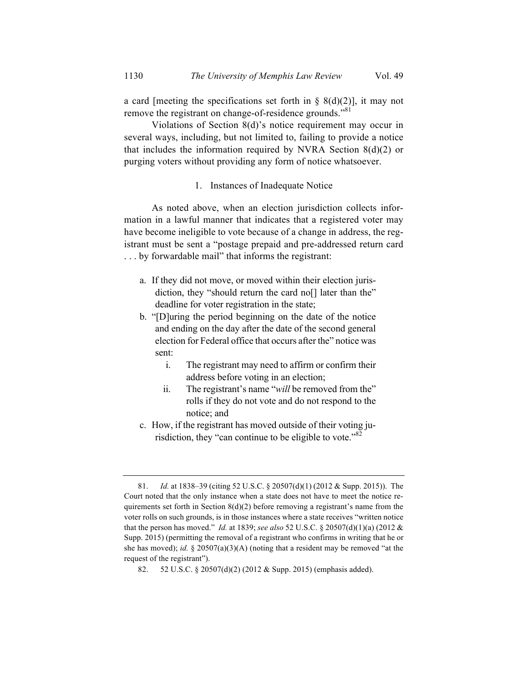a card [meeting the specifications set forth in  $\S$  8(d)(2)], it may not remove the registrant on change-of-residence grounds."<sup>81</sup>

Violations of Section 8(d)'s notice requirement may occur in several ways, including, but not limited to, failing to provide a notice that includes the information required by NVRA Section  $8(d)(2)$  or purging voters without providing any form of notice whatsoever.

#### 1. Instances of Inadequate Notice

As noted above, when an election jurisdiction collects information in a lawful manner that indicates that a registered voter may have become ineligible to vote because of a change in address, the registrant must be sent a "postage prepaid and pre-addressed return card . . . by forwardable mail" that informs the registrant:

- a. If they did not move, or moved within their election jurisdiction, they "should return the card no<sup>[]</sup> later than the" deadline for voter registration in the state;
- b. "[D]uring the period beginning on the date of the notice and ending on the day after the date of the second general election for Federal office that occurs after the" notice was sent:
	- i. The registrant may need to affirm or confirm their address before voting in an election;
	- ii. The registrant's name "*will* be removed from the" rolls if they do not vote and do not respond to the notice; and
- c. How, if the registrant has moved outside of their voting jurisdiction, they "can continue to be eligible to vote."<sup>82</sup>

<sup>81.</sup> *Id.* at 1838–39 (citing 52 U.S.C. § 20507(d)(1) (2012 & Supp. 2015)). The Court noted that the only instance when a state does not have to meet the notice requirements set forth in Section  $8(d)(2)$  before removing a registrant's name from the voter rolls on such grounds, is in those instances where a state receives "written notice that the person has moved." *Id.* at 1839; *see also* 52 U.S.C. § 20507(d)(1)(a) (2012 & Supp. 2015) (permitting the removal of a registrant who confirms in writing that he or she has moved); *id.* § 20507(a)(3)(A) (noting that a resident may be removed "at the request of the registrant").

<sup>82.</sup> 52 U.S.C. § 20507(d)(2) (2012 & Supp. 2015) (emphasis added).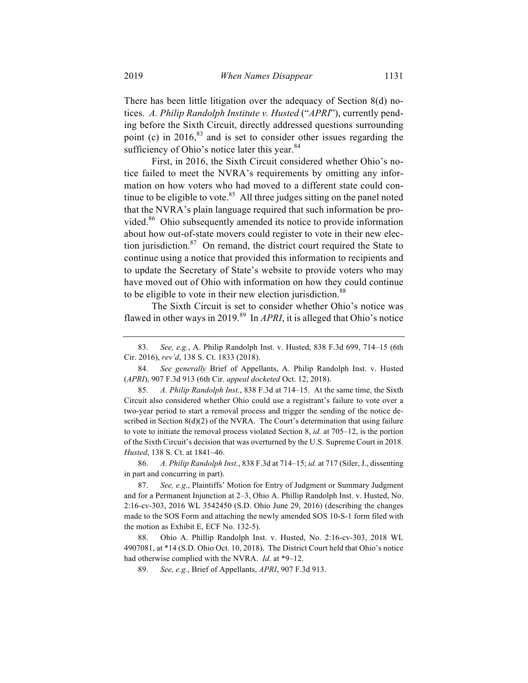There has been little litigation over the adequacy of Section 8(d) notices. *A. Philip Randolph Institute v. Husted* ("*APRI*"), currently pending before the Sixth Circuit, directly addressed questions surrounding point (c) in  $2016$ <sup>83</sup> and is set to consider other issues regarding the sufficiency of Ohio's notice later this year.<sup>84</sup>

First, in 2016, the Sixth Circuit considered whether Ohio's notice failed to meet the NVRA's requirements by omitting any information on how voters who had moved to a different state could continue to be eligible to vote.<sup>85</sup> All three judges sitting on the panel noted that the NVRA's plain language required that such information be provided.<sup>86</sup> Ohio subsequently amended its notice to provide information about how out-of-state movers could register to vote in their new election jurisdiction. $87$  On remand, the district court required the State to continue using a notice that provided this information to recipients and to update the Secretary of State's website to provide voters who may have moved out of Ohio with information on how they could continue to be eligible to vote in their new election jurisdiction.<sup>88</sup>

The Sixth Circuit is set to consider whether Ohio's notice was flawed in other ways in 2019. 89 In *APRI*, it is alleged that Ohio's notice

86. *A. Philip Randolph Inst.*, 838 F.3d at 714–15; *id.* at 717 (Siler, J., dissenting in part and concurring in part).

<sup>83.</sup> *See, e.g.*, A. Philip Randolph Inst. v. Husted, 838 F.3d 699, 714–15 (6th Cir. 2016), *rev'd*, 138 S. Ct. 1833 (2018).

<sup>84.</sup> *See generally* Brief of Appellants, A. Philip Randolph Inst. v. Husted (*APRI*), 907 F.3d 913 (6th Cir. *appeal docketed* Oct. 12, 2018).

<sup>85.</sup> *A. Philip Randolph Inst.*, 838 F.3d at 714–15. At the same time, the Sixth Circuit also considered whether Ohio could use a registrant's failure to vote over a two-year period to start a removal process and trigger the sending of the notice described in Section  $8(d)(2)$  of the NVRA. The Court's determination that using failure to vote to initiate the removal process violated Section 8, *id.* at 705–12, is the portion of the Sixth Circuit's decision that was overturned by the U.S. Supreme Court in 2018. *Husted*, 138 S. Ct. at 1841–46.

<sup>87.</sup> *See, e.g.*, Plaintiffs' Motion for Entry of Judgment or Summary Judgment and for a Permanent Injunction at 2–3, Ohio A. Phillip Randolph Inst. v. Husted, No. 2:16-cv-303, 2016 WL 3542450 (S.D. Ohio June 29, 2016) (describing the changes made to the SOS Form and attaching the newly amended SOS 10-S-1 form filed with the motion as Exhibit E, ECF No. 132-5).

<sup>88.</sup> Ohio A. Phillip Randolph Inst. v. Husted, No. 2:16-cv-303, 2018 WL 4907081, at \*14 (S.D. Ohio Oct. 10, 2018). The District Court held that Ohio's notice had otherwise complied with the NVRA. *Id.* at \*9–12.

<sup>89.</sup> *See, e.g.*, Brief of Appellants, *APRI*, 907 F.3d 913.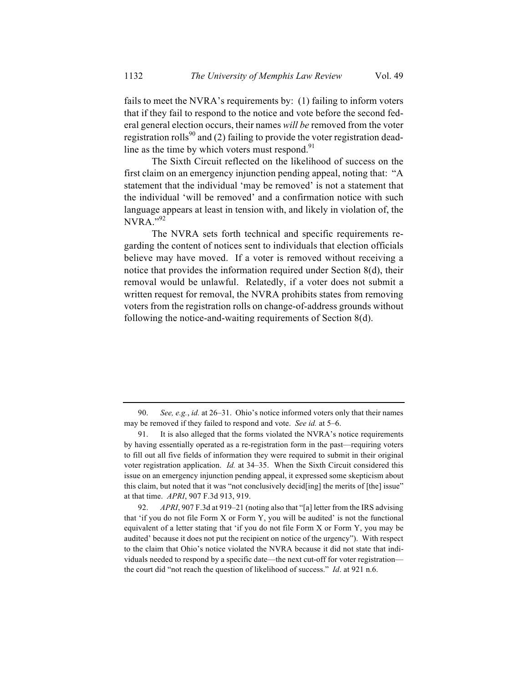fails to meet the NVRA's requirements by: (1) failing to inform voters that if they fail to respond to the notice and vote before the second federal general election occurs, their names *will be* removed from the voter registration rolls<sup>90</sup> and (2) failing to provide the voter registration deadline as the time by which voters must respond. $91$ 

The Sixth Circuit reflected on the likelihood of success on the first claim on an emergency injunction pending appeal, noting that: "A statement that the individual 'may be removed' is not a statement that the individual 'will be removed' and a confirmation notice with such language appears at least in tension with, and likely in violation of, the  $NVRA$ <sup>"92</sup>

The NVRA sets forth technical and specific requirements regarding the content of notices sent to individuals that election officials believe may have moved. If a voter is removed without receiving a notice that provides the information required under Section 8(d), their removal would be unlawful. Relatedly, if a voter does not submit a written request for removal, the NVRA prohibits states from removing voters from the registration rolls on change-of-address grounds without following the notice-and-waiting requirements of Section 8(d).

<sup>90.</sup> *See, e.g.*, *id.* at 26–31. Ohio's notice informed voters only that their names may be removed if they failed to respond and vote. *See id.* at 5–6.

<sup>91.</sup> It is also alleged that the forms violated the NVRA's notice requirements by having essentially operated as a re-registration form in the past—requiring voters to fill out all five fields of information they were required to submit in their original voter registration application. *Id.* at 34–35. When the Sixth Circuit considered this issue on an emergency injunction pending appeal, it expressed some skepticism about this claim, but noted that it was "not conclusively decid[ing] the merits of [the] issue" at that time. *APRI*, 907 F.3d 913, 919.

<sup>92.</sup> *APRI*, 907 F.3d at 919–21 (noting also that "[a] letter from the IRS advising that 'if you do not file Form X or Form Y, you will be audited' is not the functional equivalent of a letter stating that 'if you do not file Form X or Form Y, you may be audited' because it does not put the recipient on notice of the urgency"). With respect to the claim that Ohio's notice violated the NVRA because it did not state that individuals needed to respond by a specific date—the next cut-off for voter registration the court did "not reach the question of likelihood of success." *Id*. at 921 n.6.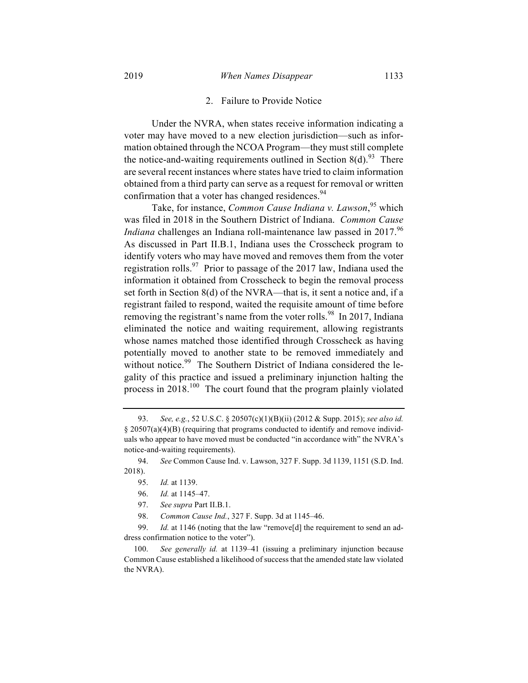Under the NVRA, when states receive information indicating a voter may have moved to a new election jurisdiction—such as information obtained through the NCOA Program—they must still complete the notice-and-waiting requirements outlined in Section 8(d).<sup>93</sup> There are several recent instances where states have tried to claim information obtained from a third party can serve as a request for removal or written confirmation that a voter has changed residences.<sup>94</sup>

Take, for instance, *Common Cause Indiana v. Lawson*, <sup>95</sup> which was filed in 2018 in the Southern District of Indiana. *Common Cause Indiana* challenges an Indiana roll-maintenance law passed in 2017.<sup>96</sup> As discussed in Part II.B.1, Indiana uses the Crosscheck program to identify voters who may have moved and removes them from the voter registration rolls.<sup>97</sup> Prior to passage of the 2017 law, Indiana used the information it obtained from Crosscheck to begin the removal process set forth in Section 8(d) of the NVRA—that is, it sent a notice and, if a registrant failed to respond, waited the requisite amount of time before removing the registrant's name from the voter rolls.<sup>98</sup> In 2017, Indiana eliminated the notice and waiting requirement, allowing registrants whose names matched those identified through Crosscheck as having potentially moved to another state to be removed immediately and without notice.<sup>99</sup> The Southern District of Indiana considered the legality of this practice and issued a preliminary injunction halting the process in  $2018$ .<sup>100</sup> The court found that the program plainly violated

- 95. *Id.* at 1139.
- 96. *Id.* at 1145–47.
- 97. *See supra* Part II.B.1.
- 98. *Common Cause Ind.*, 327 F. Supp. 3d at 1145–46.

99. *Id.* at 1146 (noting that the law "remove<sup>[d]</sup> the requirement to send an address confirmation notice to the voter").

100. *See generally id.* at 1139–41 (issuing a preliminary injunction because Common Cause established a likelihood of success that the amended state law violated the NVRA).

<sup>93.</sup> *See, e.g.*, 52 U.S.C. § 20507(c)(1)(B)(ii) (2012 & Supp. 2015); *see also id.* § 20507(a)(4)(B) (requiring that programs conducted to identify and remove individuals who appear to have moved must be conducted "in accordance with" the NVRA's notice-and-waiting requirements).

<sup>94.</sup> *See* Common Cause Ind. v. Lawson, 327 F. Supp. 3d 1139, 1151 (S.D. Ind. 2018).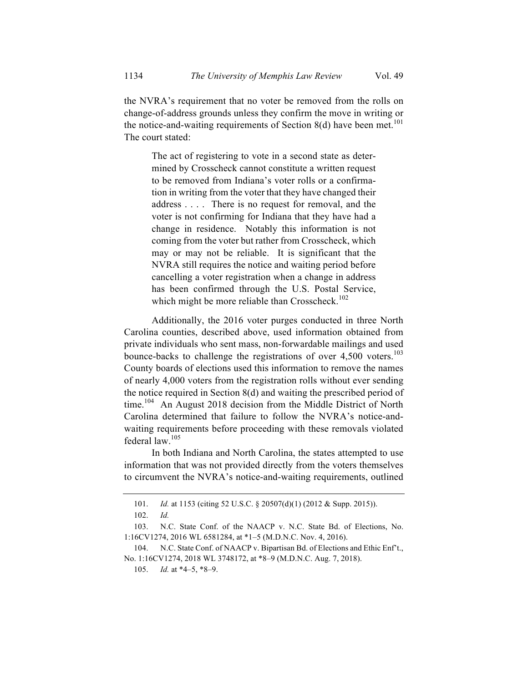the NVRA's requirement that no voter be removed from the rolls on change-of-address grounds unless they confirm the move in writing or the notice-and-waiting requirements of Section 8(d) have been met.<sup>101</sup> The court stated:

The act of registering to vote in a second state as determined by Crosscheck cannot constitute a written request to be removed from Indiana's voter rolls or a confirmation in writing from the voter that they have changed their address . . . . There is no request for removal, and the voter is not confirming for Indiana that they have had a change in residence. Notably this information is not coming from the voter but rather from Crosscheck, which may or may not be reliable. It is significant that the NVRA still requires the notice and waiting period before cancelling a voter registration when a change in address has been confirmed through the U.S. Postal Service, which might be more reliable than Crosscheck.<sup>102</sup>

Additionally, the 2016 voter purges conducted in three North Carolina counties, described above, used information obtained from private individuals who sent mass, non-forwardable mailings and used bounce-backs to challenge the registrations of over  $4,500$  voters.<sup>103</sup> County boards of elections used this information to remove the names of nearly 4,000 voters from the registration rolls without ever sending the notice required in Section 8(d) and waiting the prescribed period of time.<sup>104</sup> An August 2018 decision from the Middle District of North Carolina determined that failure to follow the NVRA's notice-andwaiting requirements before proceeding with these removals violated federal law.<sup>105</sup>

In both Indiana and North Carolina, the states attempted to use information that was not provided directly from the voters themselves to circumvent the NVRA's notice-and-waiting requirements, outlined

<sup>101.</sup> *Id.* at 1153 (citing 52 U.S.C. § 20507(d)(1) (2012 & Supp. 2015)).

<sup>102.</sup> *Id.*

<sup>103.</sup> N.C. State Conf. of the NAACP v. N.C. State Bd. of Elections, No. 1:16CV1274, 2016 WL 6581284, at \*1–5 (M.D.N.C. Nov. 4, 2016).

<sup>104.</sup> N.C. State Conf. of NAACP v. Bipartisan Bd. of Elections and Ethic Enf't., No. 1:16CV1274, 2018 WL 3748172, at \*8–9 (M.D.N.C. Aug. 7, 2018).

<sup>105.</sup> *Id.* at \*4–5, \*8–9.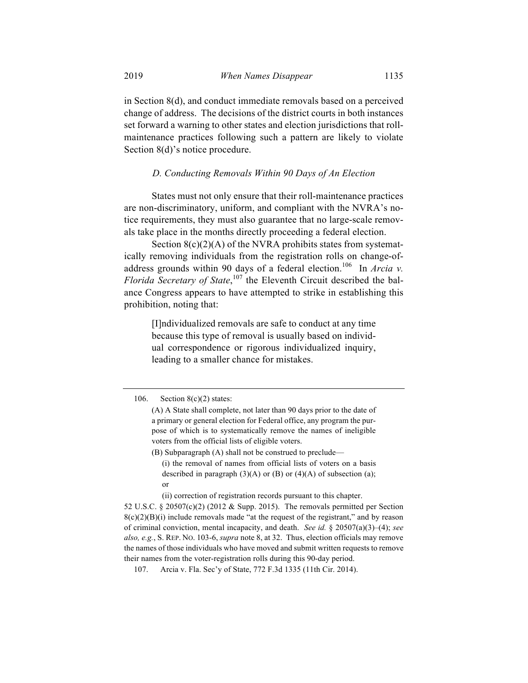in Section 8(d), and conduct immediate removals based on a perceived change of address. The decisions of the district courts in both instances set forward a warning to other states and election jurisdictions that rollmaintenance practices following such a pattern are likely to violate Section 8(d)'s notice procedure.

#### *D. Conducting Removals Within 90 Days of An Election*

States must not only ensure that their roll-maintenance practices are non-discriminatory, uniform, and compliant with the NVRA's notice requirements, they must also guarantee that no large-scale removals take place in the months directly proceeding a federal election.

Section  $8(c)(2)(A)$  of the NVRA prohibits states from systematically removing individuals from the registration rolls on change-ofaddress grounds within 90 days of a federal election.<sup>106</sup> In *Arcia v. Florida Secretary of State*, <sup>107</sup> the Eleventh Circuit described the balance Congress appears to have attempted to strike in establishing this prohibition, noting that:

[I]ndividualized removals are safe to conduct at any time because this type of removal is usually based on individual correspondence or rigorous individualized inquiry, leading to a smaller chance for mistakes.

(B) Subparagraph (A) shall not be construed to preclude—

(i) the removal of names from official lists of voters on a basis described in paragraph  $(3)(A)$  or  $(B)$  or  $(4)(A)$  of subsection (a); or

(ii) correction of registration records pursuant to this chapter.

52 U.S.C. § 20507(c)(2) (2012 & Supp. 2015). The removals permitted per Section  $8(c)(2)(B)(i)$  include removals made "at the request of the registrant," and by reason of criminal conviction, mental incapacity, and death. *See id.* § 20507(a)(3)–(4); *see also, e.g.*, S. REP. NO. 103-6, *supra* note 8, at 32. Thus, election officials may remove the names of those individuals who have moved and submit written requests to remove their names from the voter-registration rolls during this 90-day period.

107. Arcia v. Fla. Sec'y of State, 772 F.3d 1335 (11th Cir. 2014).

<sup>106.</sup> Section  $8(c)(2)$  states:

<sup>(</sup>A) A State shall complete, not later than 90 days prior to the date of a primary or general election for Federal office, any program the purpose of which is to systematically remove the names of ineligible voters from the official lists of eligible voters.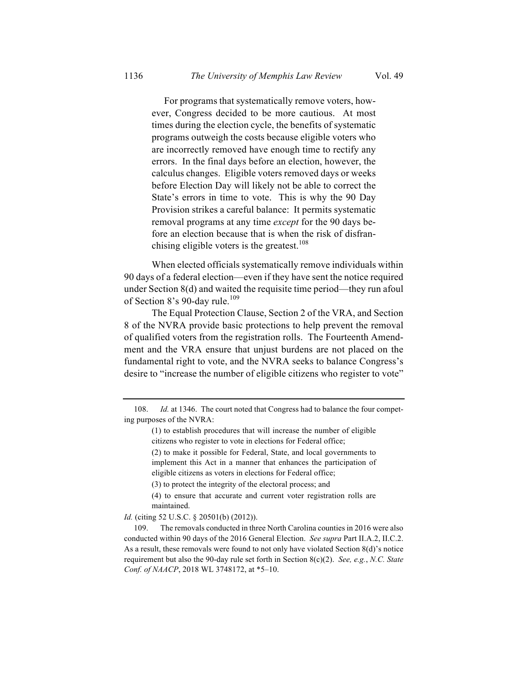For programs that systematically remove voters, however, Congress decided to be more cautious. At most times during the election cycle, the benefits of systematic programs outweigh the costs because eligible voters who are incorrectly removed have enough time to rectify any errors. In the final days before an election, however, the calculus changes. Eligible voters removed days or weeks before Election Day will likely not be able to correct the State's errors in time to vote. This is why the 90 Day Provision strikes a careful balance: It permits systematic removal programs at any time *except* for the 90 days before an election because that is when the risk of disfranchising eligible voters is the greatest.<sup>108</sup>

When elected officials systematically remove individuals within 90 days of a federal election—even if they have sent the notice required under Section 8(d) and waited the requisite time period—they run afoul of Section 8's 90-day rule.<sup>109</sup>

The Equal Protection Clause, Section 2 of the VRA, and Section 8 of the NVRA provide basic protections to help prevent the removal of qualified voters from the registration rolls. The Fourteenth Amendment and the VRA ensure that unjust burdens are not placed on the fundamental right to vote, and the NVRA seeks to balance Congress's desire to "increase the number of eligible citizens who register to vote"

(3) to protect the integrity of the electoral process; and

(4) to ensure that accurate and current voter registration rolls are maintained.

*Id.* (citing 52 U.S.C. § 20501(b) (2012)).

109. The removals conducted in three North Carolina counties in 2016 were also conducted within 90 days of the 2016 General Election. *See supra* Part II.A.2, II.C.2. As a result, these removals were found to not only have violated Section 8(d)'s notice requirement but also the 90-day rule set forth in Section 8(c)(2). *See, e.g.*, *N.C. State Conf. of NAACP*, 2018 WL 3748172, at \*5–10.

<sup>108.</sup> *Id.* at 1346. The court noted that Congress had to balance the four competing purposes of the NVRA:

<sup>(1)</sup> to establish procedures that will increase the number of eligible citizens who register to vote in elections for Federal office;

<sup>(2)</sup> to make it possible for Federal, State, and local governments to implement this Act in a manner that enhances the participation of eligible citizens as voters in elections for Federal office;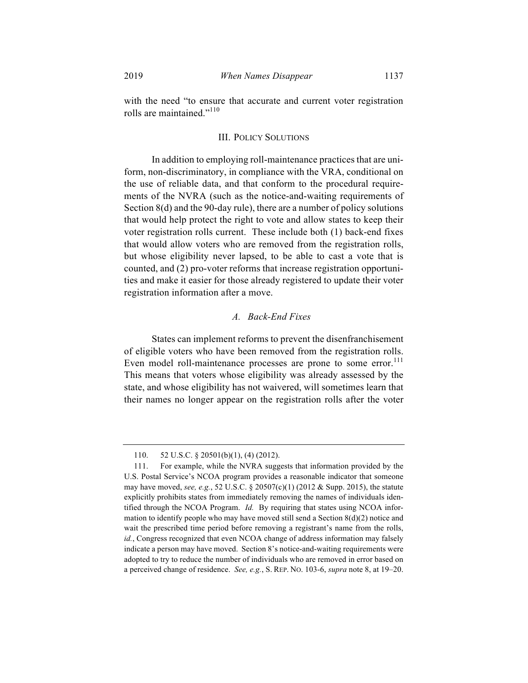with the need "to ensure that accurate and current voter registration rolls are maintained."<sup>110</sup>

#### III. POLICY SOLUTIONS

In addition to employing roll-maintenance practices that are uniform, non-discriminatory, in compliance with the VRA, conditional on the use of reliable data, and that conform to the procedural requirements of the NVRA (such as the notice-and-waiting requirements of Section 8(d) and the 90-day rule), there are a number of policy solutions that would help protect the right to vote and allow states to keep their voter registration rolls current. These include both (1) back-end fixes that would allow voters who are removed from the registration rolls, but whose eligibility never lapsed, to be able to cast a vote that is counted, and (2) pro-voter reforms that increase registration opportunities and make it easier for those already registered to update their voter registration information after a move.

#### *A. Back-End Fixes*

States can implement reforms to prevent the disenfranchisement of eligible voters who have been removed from the registration rolls. Even model roll-maintenance processes are prone to some error.<sup>111</sup> This means that voters whose eligibility was already assessed by the state, and whose eligibility has not waivered, will sometimes learn that their names no longer appear on the registration rolls after the voter

<sup>110.</sup> 52 U.S.C. § 20501(b)(1), (4) (2012).

<sup>111.</sup> For example, while the NVRA suggests that information provided by the U.S. Postal Service's NCOA program provides a reasonable indicator that someone may have moved, *see, e.g.*, 52 U.S.C. § 20507(c)(1) (2012 & Supp. 2015), the statute explicitly prohibits states from immediately removing the names of individuals identified through the NCOA Program. *Id.* By requiring that states using NCOA information to identify people who may have moved still send a Section  $8(d)(2)$  notice and wait the prescribed time period before removing a registrant's name from the rolls, *id.*, Congress recognized that even NCOA change of address information may falsely indicate a person may have moved. Section 8's notice-and-waiting requirements were adopted to try to reduce the number of individuals who are removed in error based on a perceived change of residence. *See, e.g.*, S. REP. NO. 103-6, *supra* note 8, at 19–20.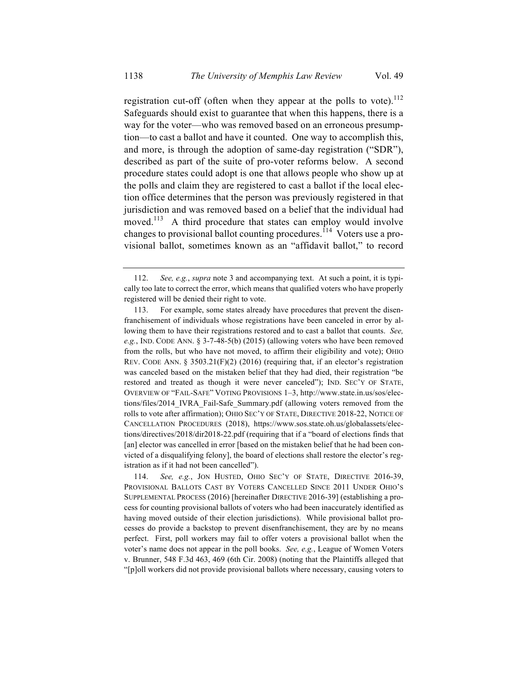registration cut-off (often when they appear at the polls to vote). $^{112}$ Safeguards should exist to guarantee that when this happens, there is a way for the voter—who was removed based on an erroneous presumption—to cast a ballot and have it counted. One way to accomplish this, and more, is through the adoption of same-day registration ("SDR"), described as part of the suite of pro-voter reforms below. A second procedure states could adopt is one that allows people who show up at the polls and claim they are registered to cast a ballot if the local election office determines that the person was previously registered in that jurisdiction and was removed based on a belief that the individual had moved.<sup>113</sup> A third procedure that states can employ would involve changes to provisional ballot counting procedures.<sup> $114$ </sup> Voters use a provisional ballot, sometimes known as an "affidavit ballot," to record

<sup>112.</sup> *See, e.g.*, *supra* note 3 and accompanying text. At such a point, it is typically too late to correct the error, which means that qualified voters who have properly registered will be denied their right to vote.

<sup>113.</sup> For example, some states already have procedures that prevent the disenfranchisement of individuals whose registrations have been canceled in error by allowing them to have their registrations restored and to cast a ballot that counts. *See, e.g.*, IND. CODE ANN. § 3-7-48-5(b) (2015) (allowing voters who have been removed from the rolls, but who have not moved, to affirm their eligibility and vote); OHIO REV. CODE ANN. §  $3503.21(F)(2)$  (2016) (requiring that, if an elector's registration was canceled based on the mistaken belief that they had died, their registration "be restored and treated as though it were never canceled"); IND. SEC'Y OF STATE, OVERVIEW OF "FAIL-SAFE" VOTING PROVISIONS 1–3, http://www.state.in.us/sos/elections/files/2014\_IVRA\_Fail-Safe\_Summary.pdf (allowing voters removed from the rolls to vote after affirmation); OHIO SEC'Y OF STATE, DIRECTIVE 2018-22, NOTICE OF CANCELLATION PROCEDURES (2018), https://www.sos.state.oh.us/globalassets/elections/directives/2018/dir2018-22.pdf (requiring that if a "board of elections finds that [an] elector was cancelled in error [based on the mistaken belief that he had been convicted of a disqualifying felony], the board of elections shall restore the elector's registration as if it had not been cancelled").

<sup>114.</sup> *See, e.g.*, JON HUSTED, OHIO SEC'Y OF STATE, DIRECTIVE 2016-39, PROVISIONAL BALLOTS CAST BY VOTERS CANCELLED SINCE 2011 UNDER OHIO'S SUPPLEMENTAL PROCESS (2016) [hereinafter DIRECTIVE 2016-39] (establishing a process for counting provisional ballots of voters who had been inaccurately identified as having moved outside of their election jurisdictions). While provisional ballot processes do provide a backstop to prevent disenfranchisement, they are by no means perfect. First, poll workers may fail to offer voters a provisional ballot when the voter's name does not appear in the poll books. *See, e.g.*, League of Women Voters v. Brunner, 548 F.3d 463, 469 (6th Cir. 2008) (noting that the Plaintiffs alleged that "[p]oll workers did not provide provisional ballots where necessary, causing voters to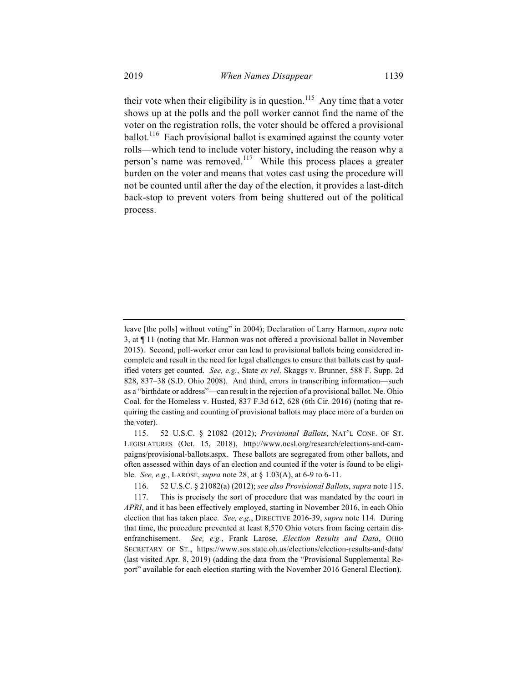their vote when their eligibility is in question.<sup>115</sup> Any time that a voter shows up at the polls and the poll worker cannot find the name of the voter on the registration rolls, the voter should be offered a provisional ballot.<sup>116</sup> Each provisional ballot is examined against the county voter rolls—which tend to include voter history, including the reason why a person's name was removed.<sup>117</sup> While this process places a greater burden on the voter and means that votes cast using the procedure will not be counted until after the day of the election, it provides a last-ditch back-stop to prevent voters from being shuttered out of the political process.

leave [the polls] without voting" in 2004); Declaration of Larry Harmon, *supra* note 3, at ¶ 11 (noting that Mr. Harmon was not offered a provisional ballot in November 2015). Second, poll-worker error can lead to provisional ballots being considered incomplete and result in the need for legal challenges to ensure that ballots cast by qualified voters get counted. *See, e.g.*, State *ex rel*. Skaggs v. Brunner, 588 F. Supp. 2d 828, 837–38 (S.D. Ohio 2008). And third, errors in transcribing information—such as a "birthdate or address"—can result in the rejection of a provisional ballot. Ne. Ohio Coal. for the Homeless v. Husted, 837 F.3d 612, 628 (6th Cir. 2016) (noting that requiring the casting and counting of provisional ballots may place more of a burden on the voter).

<sup>115.</sup> 52 U.S.C. § 21082 (2012); *Provisional Ballots*, NAT'L CONF. OF ST. LEGISLATURES (Oct. 15, 2018), http://www.ncsl.org/research/elections-and-campaigns/provisional-ballots.aspx. These ballots are segregated from other ballots, and often assessed within days of an election and counted if the voter is found to be eligible. *See, e.g.*, LAROSE, *supra* note 28, at § 1.03(A), at 6-9 to 6-11.

<sup>116.</sup> 52 U.S.C. § 21082(a) (2012); *see also Provisional Ballots*, *supra* note 115.

<sup>117.</sup> This is precisely the sort of procedure that was mandated by the court in *APRI*, and it has been effectively employed, starting in November 2016, in each Ohio election that has taken place. *See, e.g.*, DIRECTIVE 2016-39, *supra* note 114. During that time, the procedure prevented at least 8,570 Ohio voters from facing certain disenfranchisement. *See, e.g.*, Frank Larose, *Election Results and Data*, OHIO SECRETARY OF ST., https://www.sos.state.oh.us/elections/election-results-and-data/ (last visited Apr. 8, 2019) (adding the data from the "Provisional Supplemental Report" available for each election starting with the November 2016 General Election).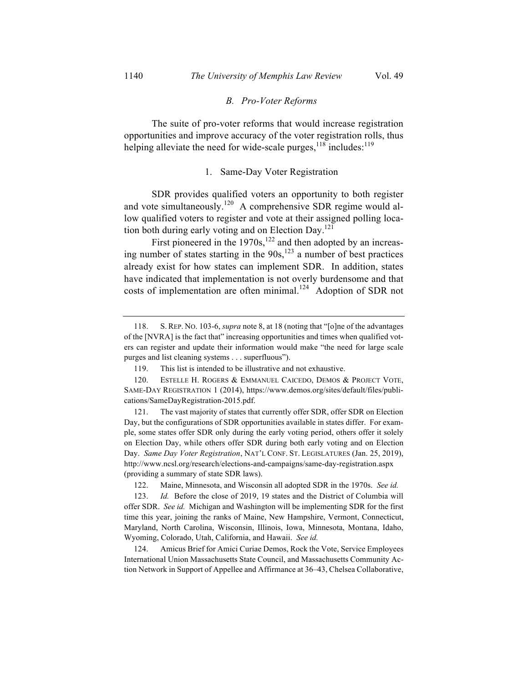#### *B. Pro-Voter Reforms*

The suite of pro-voter reforms that would increase registration opportunities and improve accuracy of the voter registration rolls, thus helping alleviate the need for wide-scale purges, $118$  includes: $119$ 

#### 1. Same-Day Voter Registration

SDR provides qualified voters an opportunity to both register and vote simultaneously.<sup>120</sup> A comprehensive SDR regime would allow qualified voters to register and vote at their assigned polling location both during early voting and on Election Day.<sup>121</sup>

First pioneered in the  $1970s$ ,<sup>122</sup> and then adopted by an increasing number of states starting in the  $90s$ ,<sup>123</sup> a number of best practices already exist for how states can implement SDR. In addition, states have indicated that implementation is not overly burdensome and that costs of implementation are often minimal.<sup>124</sup> Adoption of SDR not

124. Amicus Brief for Amici Curiae Demos, Rock the Vote, Service Employees International Union Massachusetts State Council, and Massachusetts Community Action Network in Support of Appellee and Affirmance at 36–43, Chelsea Collaborative,

<sup>118.</sup> S. REP. NO. 103-6, *supra* note 8, at 18 (noting that "[o]ne of the advantages of the [NVRA] is the fact that" increasing opportunities and times when qualified voters can register and update their information would make "the need for large scale purges and list cleaning systems . . . superfluous").

<sup>119.</sup> This list is intended to be illustrative and not exhaustive.

<sup>120.</sup> ESTELLE H. ROGERS & EMMANUEL CAICEDO, DEMOS & PROJECT VOTE, SAME-DAY REGISTRATION 1 (2014), https://www.demos.org/sites/default/files/publications/SameDayRegistration-2015.pdf.

<sup>121.</sup> The vast majority of states that currently offer SDR, offer SDR on Election Day, but the configurations of SDR opportunities available in states differ. For example, some states offer SDR only during the early voting period, others offer it solely on Election Day, while others offer SDR during both early voting and on Election Day. *Same Day Voter Registration*, NAT'L CONF. ST. LEGISLATURES (Jan. 25, 2019), http://www.ncsl.org/research/elections-and-campaigns/same-day-registration.aspx (providing a summary of state SDR laws).

<sup>122.</sup> Maine, Minnesota, and Wisconsin all adopted SDR in the 1970s. *See id.*

<sup>123.</sup> *Id.* Before the close of 2019, 19 states and the District of Columbia will offer SDR. *See id.* Michigan and Washington will be implementing SDR for the first time this year, joining the ranks of Maine, New Hampshire, Vermont, Connecticut, Maryland, North Carolina, Wisconsin, Illinois, Iowa, Minnesota, Montana, Idaho, Wyoming, Colorado, Utah, California, and Hawaii. *See id.*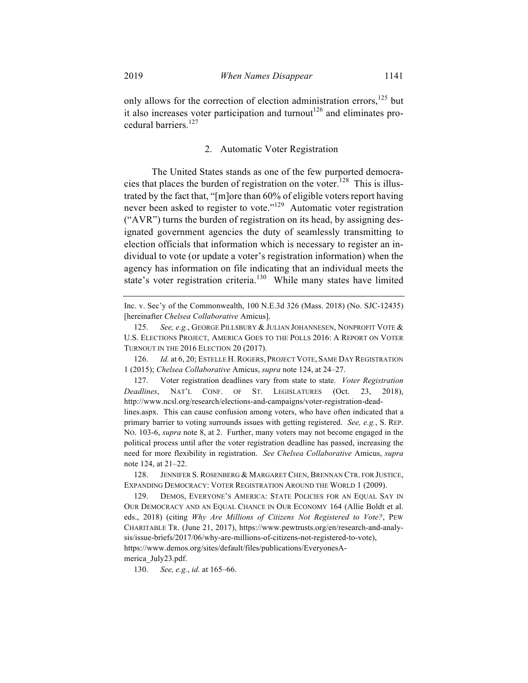only allows for the correction of election administration errors, $^{125}$  but it also increases voter participation and turnout<sup>126</sup> and eliminates procedural barriers.<sup>127</sup>

#### 2. Automatic Voter Registration

The United States stands as one of the few purported democracies that places the burden of registration on the voter.<sup>128</sup> This is illustrated by the fact that, "[m]ore than 60% of eligible voters report having never been asked to register to vote."<sup>129</sup> Automatic voter registration ("AVR") turns the burden of registration on its head, by assigning designated government agencies the duty of seamlessly transmitting to election officials that information which is necessary to register an individual to vote (or update a voter's registration information) when the agency has information on file indicating that an individual meets the state's voter registration criteria. $130$  While many states have limited

126. *Id.* at 6, 20; ESTELLE H. ROGERS, PROJECT VOTE, SAME DAY REGISTRATION 1 (2015); *Chelsea Collaborative* Amicus, *supra* note 124, at 24–27.

127. Voter registration deadlines vary from state to state. *Voter Registration Deadlines*, NAT'L CONF. OF ST. LEGISLATURES (Oct. 23, 2018), http://www.ncsl.org/research/elections-and-campaigns/voter-registration-deadlines.aspx. This can cause confusion among voters, who have often indicated that a primary barrier to voting surrounds issues with getting registered. *See, e.g.*, S. REP. NO. 103-6, *supra* note 8, at 2. Further, many voters may not become engaged in the political process until after the voter registration deadline has passed, increasing the need for more flexibility in registration. *See Chelsea Collaborative* Amicus, *supra*  note 124, at 21–22.

128. JENNIFER S. ROSENBERG & MARGARET CHEN, BRENNAN CTR. FOR JUSTICE, EXPANDING DEMOCRACY: VOTER REGISTRATION AROUND THE WORLD 1 (2009).

129. DEMOS, EVERYONE'S AMERICA: STATE POLICIES FOR AN EQUAL SAY IN OUR DEMOCRACY AND AN EQUAL CHANCE IN OUR ECONOMY 164 (Allie Boldt et al. eds., 2018) (citing *Why Are Millions of Citizens Not Registered to Vote?*, PEW CHARITABLE TR. (June 21, 2017), https://www.pewtrusts.org/en/research-and-analysis/issue-briefs/2017/06/why-are-millions-of-citizens-not-registered-to-vote), https://www.demos.org/sites/default/files/publications/EveryonesAmerica\_July23.pdf.

130. *See, e.g.*, *id.* at 165–66.

Inc. v. Sec'y of the Commonwealth, 100 N.E.3d 326 (Mass. 2018) (No. SJC-12435) [hereinafter *Chelsea Collaborative* Amicus].

<sup>125.</sup> *See, e.g.*, GEORGE PILLSBURY & JULIAN JOHANNESEN, NONPROFIT VOTE & U.S. ELECTIONS PROJECT, AMERICA GOES TO THE POLLS 2016: A REPORT ON VOTER TURNOUT IN THE 2016 ELECTION 20 (2017).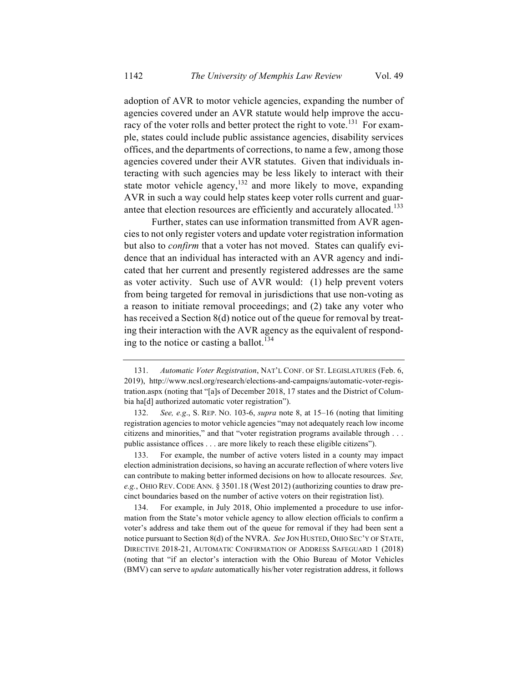adoption of AVR to motor vehicle agencies, expanding the number of agencies covered under an AVR statute would help improve the accuracy of the voter rolls and better protect the right to vote.<sup>131</sup> For example, states could include public assistance agencies, disability services offices, and the departments of corrections, to name a few, among those agencies covered under their AVR statutes. Given that individuals interacting with such agencies may be less likely to interact with their state motor vehicle agency,<sup>132</sup> and more likely to move, expanding AVR in such a way could help states keep voter rolls current and guarantee that election resources are efficiently and accurately allocated.<sup>133</sup>

Further, states can use information transmitted from AVR agencies to not only register voters and update voter registration information but also to *confirm* that a voter has not moved. States can qualify evidence that an individual has interacted with an AVR agency and indicated that her current and presently registered addresses are the same as voter activity. Such use of AVR would: (1) help prevent voters from being targeted for removal in jurisdictions that use non-voting as a reason to initiate removal proceedings; and (2) take any voter who has received a Section 8(d) notice out of the queue for removal by treating their interaction with the AVR agency as the equivalent of responding to the notice or casting a ballot. 134

<sup>131.</sup> *Automatic Voter Registration*, NAT'L CONF. OF ST. LEGISLATURES (Feb. 6, 2019), http://www.ncsl.org/research/elections-and-campaigns/automatic-voter-registration.aspx (noting that "[a]s of December 2018, 17 states and the District of Columbia ha[d] authorized automatic voter registration").

<sup>132.</sup> *See, e.g*., S. REP. NO. 103-6, *supra* note 8, at 15–16 (noting that limiting registration agencies to motor vehicle agencies "may not adequately reach low income citizens and minorities," and that "voter registration programs available through . . . public assistance offices . . . are more likely to reach these eligible citizens").

<sup>133.</sup> For example, the number of active voters listed in a county may impact election administration decisions, so having an accurate reflection of where voters live can contribute to making better informed decisions on how to allocate resources. *See, e.g.*, OHIO REV. CODE ANN. § 3501.18 (West 2012) (authorizing counties to draw precinct boundaries based on the number of active voters on their registration list).

<sup>134.</sup> For example, in July 2018, Ohio implemented a procedure to use information from the State's motor vehicle agency to allow election officials to confirm a voter's address and take them out of the queue for removal if they had been sent a notice pursuant to Section 8(d) of the NVRA. *See* JON HUSTED, OHIO SEC'Y OF STATE, DIRECTIVE 2018-21, AUTOMATIC CONFIRMATION OF ADDRESS SAFEGUARD 1 (2018) (noting that "if an elector's interaction with the Ohio Bureau of Motor Vehicles (BMV) can serve to *update* automatically his/her voter registration address, it follows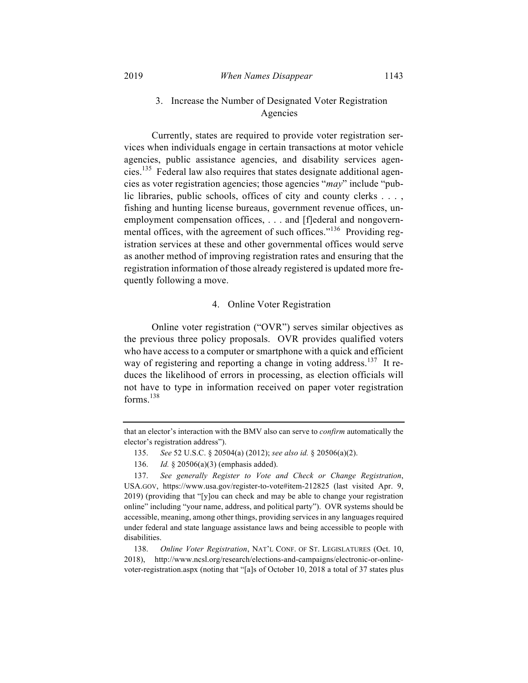## 3. Increase the Number of Designated Voter Registration Agencies

Currently, states are required to provide voter registration services when individuals engage in certain transactions at motor vehicle agencies, public assistance agencies, and disability services agencies.<sup>135</sup> Federal law also requires that states designate additional agencies as voter registration agencies; those agencies "*may*" include "public libraries, public schools, offices of city and county clerks . . . , fishing and hunting license bureaus, government revenue offices, unemployment compensation offices, . . . and [f]ederal and nongovernmental offices, with the agreement of such offices."<sup>136</sup> Providing registration services at these and other governmental offices would serve as another method of improving registration rates and ensuring that the registration information of those already registered is updated more frequently following a move.

#### 4. Online Voter Registration

Online voter registration ("OVR") serves similar objectives as the previous three policy proposals. OVR provides qualified voters who have access to a computer or smartphone with a quick and efficient way of registering and reporting a change in voting address.<sup>137</sup> It reduces the likelihood of errors in processing, as election officials will not have to type in information received on paper voter registration forms. $138$ 

that an elector's interaction with the BMV also can serve to *confirm* automatically the elector's registration address").

<sup>135.</sup> *See* 52 U.S.C. § 20504(a) (2012); *see also id.* § 20506(a)(2).

<sup>136.</sup> *Id.* § 20506(a)(3) (emphasis added).

<sup>137.</sup> *See generally Register to Vote and Check or Change Registration*, USA.GOV, https://www.usa.gov/register-to-vote#item-212825 (last visited Apr. 9, 2019) (providing that "[y]ou can check and may be able to change your registration online" including "your name, address, and political party"). OVR systems should be accessible, meaning, among other things, providing services in any languages required under federal and state language assistance laws and being accessible to people with disabilities.

<sup>138.</sup> *Online Voter Registration*, NAT'L CONF. OF ST. LEGISLATURES (Oct. 10, 2018), http://www.ncsl.org/research/elections-and-campaigns/electronic-or-onlinevoter-registration.aspx (noting that "[a]s of October 10, 2018 a total of 37 states plus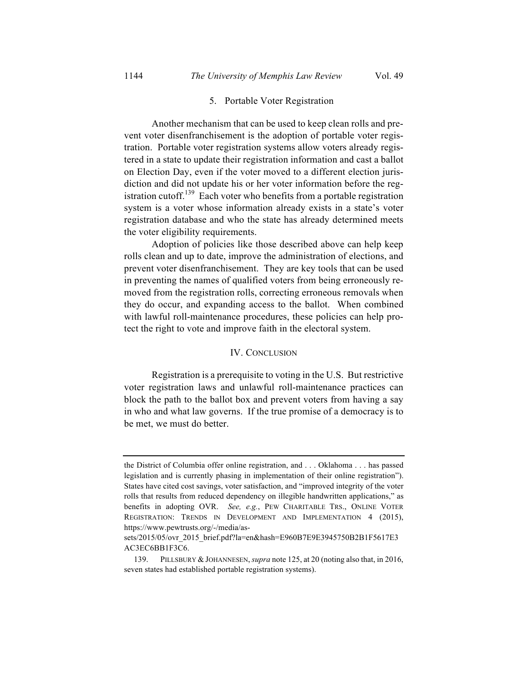#### 5. Portable Voter Registration

Another mechanism that can be used to keep clean rolls and prevent voter disenfranchisement is the adoption of portable voter registration. Portable voter registration systems allow voters already registered in a state to update their registration information and cast a ballot on Election Day, even if the voter moved to a different election jurisdiction and did not update his or her voter information before the registration cutoff.<sup>139</sup> Each voter who benefits from a portable registration system is a voter whose information already exists in a state's voter registration database and who the state has already determined meets the voter eligibility requirements.

Adoption of policies like those described above can help keep rolls clean and up to date, improve the administration of elections, and prevent voter disenfranchisement. They are key tools that can be used in preventing the names of qualified voters from being erroneously removed from the registration rolls, correcting erroneous removals when they do occur, and expanding access to the ballot. When combined with lawful roll-maintenance procedures, these policies can help protect the right to vote and improve faith in the electoral system.

#### IV. CONCLUSION

Registration is a prerequisite to voting in the U.S. But restrictive voter registration laws and unlawful roll-maintenance practices can block the path to the ballot box and prevent voters from having a say in who and what law governs. If the true promise of a democracy is to be met, we must do better.

the District of Columbia offer online registration, and . . . Oklahoma . . . has passed legislation and is currently phasing in implementation of their online registration"). States have cited cost savings, voter satisfaction, and "improved integrity of the voter rolls that results from reduced dependency on illegible handwritten applications," as benefits in adopting OVR. *See, e.g.*, PEW CHARITABLE TRS., ONLINE VOTER REGISTRATION: TRENDS IN DEVELOPMENT AND IMPLEMENTATION 4 (2015), https://www.pewtrusts.org/-/media/as-

sets/2015/05/ovr\_2015\_brief.pdf?la=en&hash=E960B7E9E3945750B2B1F5617E3 AC3EC6BB1F3C6.

<sup>139.</sup> PILLSBURY & JOHANNESEN, *supra* note 125, at 20 (noting also that, in 2016, seven states had established portable registration systems).